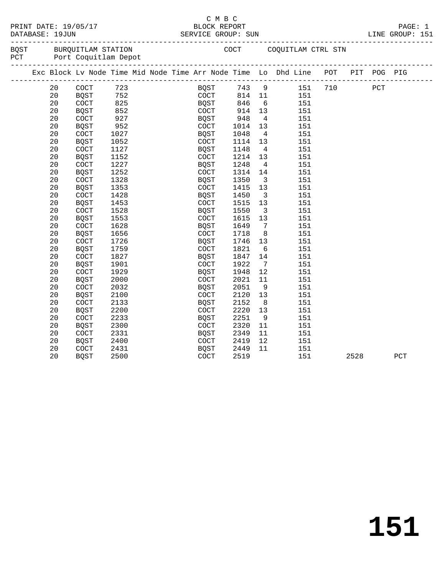|           | PRINT DATE: 19/05/1           |
|-----------|-------------------------------|
| --------- | $\blacksquare$ $\blacksquare$ |

**151**

|     |      | DATABASE: 19JUN | PRINT DATE: 19/05/17                       |      |  |                      | смвс<br>BLOCK REPORT | SERVICE GROUP: SUN |                         |                                                                                |     |      |     | PAGE: 1<br>LINE GROUP: 151 |
|-----|------|-----------------|--------------------------------------------|------|--|----------------------|----------------------|--------------------|-------------------------|--------------------------------------------------------------------------------|-----|------|-----|----------------------------|
| PCT | BQST |                 | BURQUITLAM STATION<br>Port Coquitlam Depot |      |  |                      |                      |                    |                         | COCT COQUITLAM CTRL STN                                                        |     |      |     |                            |
|     |      |                 |                                            |      |  |                      |                      |                    |                         | Exc Block Lv Node Time Mid Node Time Arr Node Time Lo Dhd Line POT PIT POG PIG |     |      |     |                            |
|     |      | 20              | $\operatorname{COT}$                       | 723  |  |                      |                      | BQST 743 9         |                         | 151                                                                            | 710 |      | PCT |                            |
|     |      | 20              | BQST                                       | 752  |  |                      | COCT                 | 814 11             |                         | 151                                                                            |     |      |     |                            |
|     |      | 20              | COCT                                       | 825  |  | BQST                 |                      | 846                | $6\overline{6}$         | 151                                                                            |     |      |     |                            |
|     |      | 20              | <b>BQST</b>                                | 852  |  | COCT                 |                      | 846<br>914         | 13                      | 151                                                                            |     |      |     |                            |
|     |      | 20              | COCT                                       | 927  |  | BQST                 |                      | 948                | $\overline{4}$          | 151                                                                            |     |      |     |                            |
|     |      | 20              | <b>BQST</b>                                | 952  |  | COCT                 |                      | 1014               | 13                      | 151                                                                            |     |      |     |                            |
|     |      | 20              | COCT                                       | 1027 |  | BQST                 |                      | 1048               | $\overline{4}$          | 151                                                                            |     |      |     |                            |
|     |      | 20              | <b>BQST</b>                                | 1052 |  | COCT                 |                      | 1114               | 13                      | 151                                                                            |     |      |     |                            |
|     |      | 20              | COCT                                       | 1127 |  | BQST                 |                      | 1148               | $\overline{4}$          | 151                                                                            |     |      |     |                            |
|     |      | 20              | <b>BQST</b>                                | 1152 |  | $\operatorname{COT}$ |                      | 1214               | 13                      | 151                                                                            |     |      |     |                            |
|     |      | 20              | COCT                                       | 1227 |  | <b>BQST</b>          |                      | 1248               | $\overline{4}$          | 151                                                                            |     |      |     |                            |
|     |      | 20              | BQST                                       | 1252 |  | COCT                 |                      | 1314               | 14                      | 151                                                                            |     |      |     |                            |
|     |      | 20              | COCT                                       | 1328 |  | BQST                 |                      | 1350               | $\overline{\mathbf{3}}$ | 151                                                                            |     |      |     |                            |
|     |      | 20              | BQST                                       | 1353 |  | COCT                 |                      | 1415               | 13                      | 151                                                                            |     |      |     |                            |
|     |      | 20              | COCT                                       | 1428 |  | BQST                 |                      | 1450               | $\overline{\mathbf{3}}$ | 151                                                                            |     |      |     |                            |
|     |      | 20              | BQST                                       | 1453 |  | COCT                 |                      | 1515               | 13                      | 151                                                                            |     |      |     |                            |
|     |      | 20              | COCT                                       | 1528 |  | BQST                 |                      | 1550               | $\overline{\mathbf{3}}$ | 151                                                                            |     |      |     |                            |
|     |      | 20              | <b>BQST</b>                                | 1553 |  | COCT                 |                      | 1615               | 13                      | 151                                                                            |     |      |     |                            |
|     |      | 20              | COCT                                       | 1628 |  | BQST                 |                      | 1649               | $7\overline{ }$         | 151                                                                            |     |      |     |                            |
|     |      | 20              | BQST                                       | 1656 |  | COCT                 |                      | 1718               | 8                       | 151                                                                            |     |      |     |                            |
|     |      | 20              | COCT                                       | 1726 |  | BQST                 |                      | 1746               | 13                      | 151                                                                            |     |      |     |                            |
|     |      | 20              | BQST                                       | 1759 |  | COCT                 |                      | 1821               | $6\overline{6}$         | 151                                                                            |     |      |     |                            |
|     |      | 20              | $\operatorname{COT}$                       | 1827 |  | BQST                 |                      | 1847               | 14                      | 151                                                                            |     |      |     |                            |
|     |      | 20              | BQST                                       | 1901 |  | COCT                 |                      | 1922               | $\overline{7}$          | 151                                                                            |     |      |     |                            |
|     |      | 20              | COCT                                       | 1929 |  | BQST                 |                      | 1948               | 12                      | 151                                                                            |     |      |     |                            |
|     |      | 20              | BQST                                       | 2000 |  | COCT                 |                      | 2021               | 11                      | 151                                                                            |     |      |     |                            |
|     |      | 20              | COCT                                       | 2032 |  | BQST                 |                      | 2051               | 9                       | 151                                                                            |     |      |     |                            |
|     |      | 20              | <b>BQST</b>                                | 2100 |  | COCT                 |                      | 2120               | 13                      | 151                                                                            |     |      |     |                            |
|     |      | 20              | $\operatorname{COT}$                       | 2133 |  | BQST                 |                      | 2152               | 8 <sup>8</sup>          | 151                                                                            |     |      |     |                            |
|     |      | 20              | BQST                                       | 2200 |  | COCT                 |                      | 2220               | 13                      | 151                                                                            |     |      |     |                            |
|     |      | 20              | COCT                                       | 2233 |  | BQST                 |                      | 2251               | 9                       | 151                                                                            |     |      |     |                            |
|     |      | 20              | <b>BQST</b>                                | 2300 |  | COCT                 |                      | 2320               | 11                      | 151                                                                            |     |      |     |                            |
|     |      | 20              | COCT                                       | 2331 |  | BQST                 |                      | 2349               | 11                      | 151                                                                            |     |      |     |                            |
|     |      | 20              | BQST                                       | 2400 |  | COCT                 |                      | 2419               | 12                      | 151                                                                            |     |      |     |                            |
|     |      | 20              | COCT                                       | 2431 |  | BQST                 |                      | 2449               | 11                      | 151                                                                            |     |      |     |                            |
|     |      | 20              | <b>BOST</b>                                | 2500 |  | <b>COCT</b>          |                      | 2519               |                         | 151                                                                            |     | 2528 |     | PCT                        |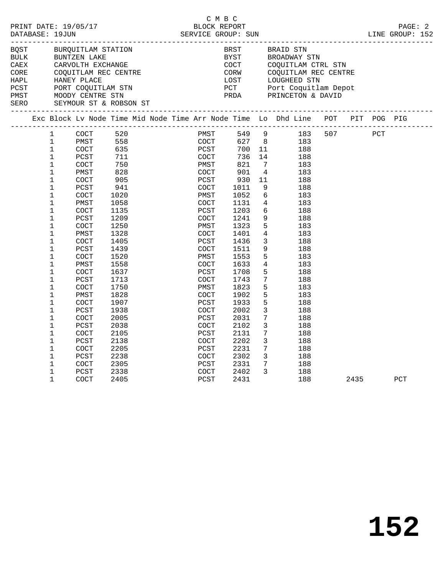|      | PRINT DATE: 19/05/17 BLOCK REPORT<br>DATABASE: 19JUN                                                                             |                     |      |                        |  |              |      |                     |                 |                                                                                |  |      |     | PAGE: 2 |
|------|----------------------------------------------------------------------------------------------------------------------------------|---------------------|------|------------------------|--|--------------|------|---------------------|-----------------|--------------------------------------------------------------------------------|--|------|-----|---------|
| BQST | BURQUITLAM STATION                                                                                                               |                     |      |                        |  |              |      | <b>BRST</b><br>BYST |                 | BRAID STN<br>BROADWAY STN                                                      |  |      |     |         |
|      |                                                                                                                                  |                     |      |                        |  |              |      |                     |                 | COCT COQUITLAM CTRL STN                                                        |  |      |     |         |
|      |                                                                                                                                  |                     |      |                        |  |              |      |                     |                 |                                                                                |  |      |     |         |
|      |                                                                                                                                  |                     |      |                        |  |              |      |                     |                 | CORW COQUITLAM REC CENTRE<br>LOST LOUGHEED STN                                 |  |      |     |         |
|      |                                                                                                                                  |                     |      |                        |  |              |      |                     |                 |                                                                                |  |      |     |         |
|      |                                                                                                                                  |                     |      |                        |  |              |      |                     |                 | PCT Port Coquitlam Depot<br>PRDA PRINCETON & DAVID                             |  |      |     |         |
|      | CORE COQUITLAM REC CENTRE<br>HAPL HANEY PLACE<br>PCST PORT COQUITLAM STN<br>PMST MOODY CENTRE STN<br>SERO SEYMOUR ST & ROBSON ST |                     |      |                        |  |              |      |                     |                 |                                                                                |  |      |     |         |
|      |                                                                                                                                  |                     |      |                        |  |              |      |                     |                 | Exc Block Lv Node Time Mid Node Time Arr Node Time Lo Dhd Line POT PIT POG PIG |  |      |     |         |
|      | $1 \quad$                                                                                                                        |                     | COCT | 520                    |  |              |      |                     |                 | PMST 549 9 183 507 PCT                                                         |  |      |     |         |
|      | $\mathbf{1}$                                                                                                                     |                     |      | PMST 558               |  |              | COCT |                     |                 | 627 8<br>183                                                                   |  |      |     |         |
|      | $\mathbf{1}$                                                                                                                     | COCT                |      | 635<br>711             |  | PCST<br>COCT |      |                     | 700 11          | 188                                                                            |  |      |     |         |
|      | $\mathbf 1$                                                                                                                      | PCST                |      |                        |  |              |      | 736                 |                 | 14<br>188                                                                      |  |      |     |         |
|      | $\mathbf{1}$                                                                                                                     | COCT                |      | 750<br>$\frac{1}{828}$ |  | PMST         |      | 821                 | $\overline{7}$  | 183                                                                            |  |      |     |         |
|      | $\mathbf{1}$                                                                                                                     | PMST                |      |                        |  | COCT         |      | 901                 | $4\overline{4}$ | 183                                                                            |  |      |     |         |
|      | $\mathbf{1}$<br>$\mathbf{1}$                                                                                                     | <b>COCT</b>         |      | 905                    |  | PCST         |      | 930                 | 11<br>9         | 188                                                                            |  |      |     |         |
|      | $\mathbf 1$                                                                                                                      | PCST                |      | 941                    |  | COCT         |      | 1011<br>1052        | 6               | 188                                                                            |  |      |     |         |
|      | $\mathbf{1}$                                                                                                                     | <b>COCT</b><br>PMST |      | 1020<br>1058           |  | PMST<br>COCT |      | 1131                | $4\overline{4}$ | 183<br>183                                                                     |  |      |     |         |
|      | $\mathbf 1$                                                                                                                      | COCT                |      | 1135                   |  | PCST         |      | 1203                | 6               | 188                                                                            |  |      |     |         |
|      | $\mathbf 1$                                                                                                                      | PCST                |      | 1209                   |  | COCT         |      | 1241                | 9 <sup>°</sup>  | 188                                                                            |  |      |     |         |
|      | $\mathbf{1}$                                                                                                                     | <b>COCT</b>         |      | 1250                   |  | PMST         |      | 1323                | 5 <sup>5</sup>  | 183                                                                            |  |      |     |         |
|      | $\mathbf{1}$                                                                                                                     | PMST                |      | 1328                   |  | COCT         |      | 1401                | $\overline{4}$  | 183                                                                            |  |      |     |         |
|      | $\mathbf{1}$                                                                                                                     | <b>COCT</b>         |      | 1405                   |  | PCST         |      | 1436                | $\overline{3}$  | 188                                                                            |  |      |     |         |
|      | $\mathbf 1$                                                                                                                      | PCST                |      | 1439                   |  | COCT         |      | 1511                | 9               | 188                                                                            |  |      |     |         |
|      | $\mathbf 1$                                                                                                                      | COCT                |      | 1520                   |  | PMST         |      | 1553                | 5               | 183                                                                            |  |      |     |         |
|      | $\mathbf 1$                                                                                                                      | PMST                |      | 1558                   |  | COCT         |      | 1633                | $\overline{4}$  | 183                                                                            |  |      |     |         |
|      | $\mathbf{1}$                                                                                                                     | <b>COCT</b>         |      | 1637                   |  | PCST         |      | 1708                | 5               | 188                                                                            |  |      |     |         |
|      | $\mathbf{1}$                                                                                                                     | PCST                |      | 1713                   |  | COCT         |      | 1743                | $7\overline{ }$ | 188                                                                            |  |      |     |         |
|      | $\mathbf 1$                                                                                                                      | <b>COCT</b>         |      | 1750                   |  | PMST         |      | 1823                | 5               | 183                                                                            |  |      |     |         |
|      | $\mathbf{1}$                                                                                                                     | PMST                |      | 1828                   |  | COCT         |      | 1902                | 5               | 183                                                                            |  |      |     |         |
|      | $\mathbf 1$                                                                                                                      | COCT                |      | 1907                   |  | PCST         |      | 1933                | 5 <sup>5</sup>  | 188                                                                            |  |      |     |         |
|      | $\mathbf{1}$                                                                                                                     | PCST                |      | 1938                   |  | COCT         |      | 2002                | $\mathbf{3}$    | 188                                                                            |  |      |     |         |
|      | $\mathbf{1}$                                                                                                                     | <b>COCT</b>         |      | 2005                   |  | PCST         |      | 2031                | $7\phantom{.0}$ | 188                                                                            |  |      |     |         |
|      | $\mathbf{1}$                                                                                                                     | PCST                |      | 2038                   |  | COCT         |      | 2102                | $\mathbf{3}$    | 188                                                                            |  |      |     |         |
|      | $\mathbf 1$                                                                                                                      | <b>COCT</b>         |      | 2105                   |  | PCST         |      | 2131                | $7\overline{ }$ | 188                                                                            |  |      |     |         |
|      | $\mathbf{1}$                                                                                                                     | PCST                |      | 2138                   |  | COCT         |      | 2202                | $\mathbf{3}$    | 188                                                                            |  |      |     |         |
|      | $\mathbf 1$                                                                                                                      | COCT                |      | 2205                   |  | PCST         |      | 2231                | $7\phantom{.0}$ | 188                                                                            |  |      |     |         |
|      | $\mathbf{1}$                                                                                                                     | PCST                |      | 2238                   |  | COCT         |      | 2302                | $\mathbf{3}$    | 188                                                                            |  |      |     |         |
|      | $\mathbf{1}$                                                                                                                     | <b>COCT</b>         |      | 2305                   |  | PCST         |      | 2331                | $7\overline{ }$ | 188                                                                            |  |      |     |         |
|      | $\mathbf 1$                                                                                                                      | PCST                |      | 2338                   |  |              | COCT | 2402                | $\mathbf{3}$    | 188                                                                            |  |      |     |         |
|      | $\mathbf{1}$                                                                                                                     | <b>COCT</b>         |      | 2405                   |  | PCST         |      | 2431                |                 | 188                                                                            |  | 2435 | PCT |         |

C M B C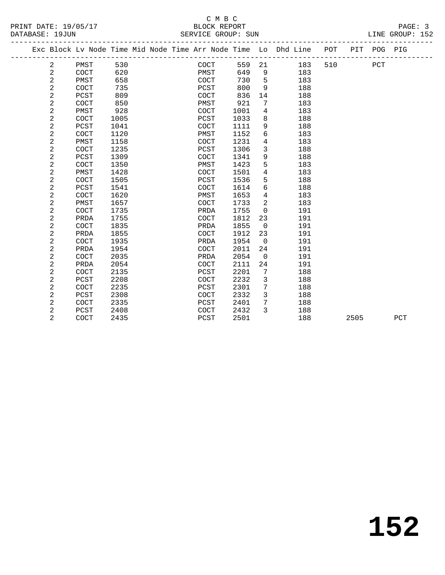### C M B C<br>BLOCK REPORT SERVICE GROUP: SUN

PRINT DATE: 19/05/17 BLOCK REPORT PAGE: 3

|  |                |      |      |  |      |      |                | Exc Block Lv Node Time Mid Node Time Arr Node Time Lo Dhd Line | POT |      | PIT POG PIG |     |
|--|----------------|------|------|--|------|------|----------------|----------------------------------------------------------------|-----|------|-------------|-----|
|  | $\overline{a}$ | PMST | 530  |  | COCT | 559  | 21             | 183                                                            | 510 |      | PCT         |     |
|  | $\overline{2}$ | COCT | 620  |  | PMST | 649  | $\overline{9}$ | 183                                                            |     |      |             |     |
|  | $\overline{a}$ | PMST | 658  |  | COCT | 730  | 5              | 183                                                            |     |      |             |     |
|  | 2              | COCT | 735  |  | PCST | 800  | 9              | 188                                                            |     |      |             |     |
|  | $\overline{a}$ | PCST | 809  |  | COCT | 836  | 14             | 188                                                            |     |      |             |     |
|  | $\overline{a}$ | COCT | 850  |  | PMST | 921  | 7              | 183                                                            |     |      |             |     |
|  | 2              | PMST | 928  |  | COCT | 1001 | $\overline{4}$ | 183                                                            |     |      |             |     |
|  | $\overline{a}$ | COCT | 1005 |  | PCST | 1033 | 8              | 188                                                            |     |      |             |     |
|  | $\overline{a}$ | PCST | 1041 |  | COCT | 1111 | 9              | 188                                                            |     |      |             |     |
|  | $\overline{a}$ | COCT | 1120 |  | PMST | 1152 | 6              | 183                                                            |     |      |             |     |
|  | $\overline{a}$ | PMST | 1158 |  | COCT | 1231 | $\overline{4}$ | 183                                                            |     |      |             |     |
|  | $\overline{a}$ | COCT | 1235 |  | PCST | 1306 | 3              | 188                                                            |     |      |             |     |
|  | $\overline{a}$ | PCST | 1309 |  | COCT | 1341 | 9              | 188                                                            |     |      |             |     |
|  | $\overline{a}$ | COCT | 1350 |  | PMST | 1423 | 5              | 183                                                            |     |      |             |     |
|  | $\overline{a}$ | PMST | 1428 |  | COCT | 1501 | $\overline{4}$ | 183                                                            |     |      |             |     |
|  | $\overline{a}$ | COCT | 1505 |  | PCST | 1536 | 5              | 188                                                            |     |      |             |     |
|  | $\overline{a}$ | PCST | 1541 |  | COCT | 1614 | 6              | 188                                                            |     |      |             |     |
|  | $\overline{a}$ | COCT | 1620 |  | PMST | 1653 | $\overline{4}$ | 183                                                            |     |      |             |     |
|  | $\overline{a}$ | PMST | 1657 |  | COCT | 1733 | 2              | 183                                                            |     |      |             |     |
|  | $\overline{a}$ | COCT | 1735 |  | PRDA | 1755 | $\mathbf 0$    | 191                                                            |     |      |             |     |
|  | $\overline{a}$ | PRDA | 1755 |  | COCT | 1812 | 23             | 191                                                            |     |      |             |     |
|  | $\overline{a}$ | COCT | 1835 |  | PRDA | 1855 | $\mathbf 0$    | 191                                                            |     |      |             |     |
|  | $\overline{a}$ | PRDA | 1855 |  | COCT | 1912 | 23             | 191                                                            |     |      |             |     |
|  | $\overline{a}$ | COCT | 1935 |  | PRDA | 1954 | $\mathbf 0$    | 191                                                            |     |      |             |     |
|  | $\overline{a}$ | PRDA | 1954 |  | COCT | 2011 | 24             | 191                                                            |     |      |             |     |
|  | $\overline{a}$ | COCT | 2035 |  | PRDA | 2054 | $\mathbf 0$    | 191                                                            |     |      |             |     |
|  | $\overline{2}$ | PRDA | 2054 |  | COCT | 2111 | 24             | 191                                                            |     |      |             |     |
|  | $\overline{a}$ | COCT | 2135 |  | PCST | 2201 | 7              | 188                                                            |     |      |             |     |
|  | $\overline{2}$ | PCST | 2208 |  | COCT | 2232 | 3              | 188                                                            |     |      |             |     |
|  | $\overline{a}$ | COCT | 2235 |  | PCST | 2301 | 7              | 188                                                            |     |      |             |     |
|  | $\overline{a}$ | PCST | 2308 |  | COCT | 2332 | $\mathbf{3}$   | 188                                                            |     |      |             |     |
|  | $\overline{a}$ | COCT | 2335 |  | PCST | 2401 | 7              | 188                                                            |     |      |             |     |
|  | $\overline{a}$ | PCST | 2408 |  | COCT | 2432 | 3              | 188                                                            |     |      |             |     |
|  | $\overline{2}$ | COCT | 2435 |  | PCST | 2501 |                | 188                                                            |     | 2505 |             | PCT |
|  |                |      |      |  |      |      |                |                                                                |     |      |             |     |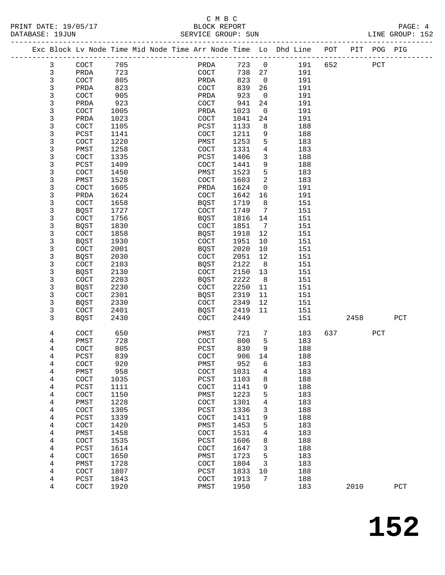#### C M B C<br>BLOCK REPORT PRINT DATE: 19/05/17 BLOCK REPORT PAGE: 4 SERVICE GROUP: SUN

|  |              | Exc Block Lv Node Time Mid Node Time Arr Node Time Lo Dhd Line POT |              |  |                       |               |                              |            |     |      | PIT POG PIG  |     |  |
|--|--------------|--------------------------------------------------------------------|--------------|--|-----------------------|---------------|------------------------------|------------|-----|------|--------------|-----|--|
|  | $\mathbf{3}$ | COCT                                                               | 705          |  | PRDA                  | 723 0         |                              | 191        | 652 |      | $_{\rm PCT}$ |     |  |
|  | 3            | PRDA                                                               | 723          |  | COCT                  | 738           | 27                           | 191        |     |      |              |     |  |
|  | 3            | COCT                                                               | 805          |  | PRDA                  | 823           | $\overline{0}$               | 191        |     |      |              |     |  |
|  | 3            | PRDA                                                               | 823          |  | COCT                  | 839           | 26                           | 191        |     |      |              |     |  |
|  | 3            | COCT                                                               | 905          |  | PRDA                  | 923           | $\overline{0}$               | 191        |     |      |              |     |  |
|  | 3            | PRDA                                                               | 923          |  | COCT                  | 941           | 24                           | 191        |     |      |              |     |  |
|  | 3            | COCT                                                               | 1005         |  | PRDA                  | 1023          | $\mathsf{O}$                 | 191        |     |      |              |     |  |
|  | 3            | PRDA                                                               | 1023         |  | COCT                  | 1041          | 24                           | 191        |     |      |              |     |  |
|  | 3            | COCT                                                               | 1105         |  | PCST                  | 1133          | 8                            | 188        |     |      |              |     |  |
|  | 3            | PCST                                                               | 1141         |  | COCT                  | 1211          | 9                            | 188        |     |      |              |     |  |
|  | 3<br>3       | COCT                                                               | 1220<br>1258 |  | PMST<br><b>COCT</b>   | 1253<br>1331  | 5<br>4                       | 183        |     |      |              |     |  |
|  | 3            | PMST<br>COCT                                                       | 1335         |  | PCST                  | 1406          | 3                            | 183<br>188 |     |      |              |     |  |
|  | 3            | PCST                                                               | 1409         |  | COCT                  | 1441          | 9                            | 188        |     |      |              |     |  |
|  | 3            | COCT                                                               | 1450         |  | PMST                  | 1523          | 5                            | 183        |     |      |              |     |  |
|  | 3            | PMST                                                               | 1528         |  | COCT                  | 1603          | 2                            | 183        |     |      |              |     |  |
|  | 3            | COCT                                                               | 1605         |  | PRDA                  | 1624          | $\mathsf{O}$                 | 191        |     |      |              |     |  |
|  | 3            | PRDA                                                               | 1624         |  | COCT                  | 1642          | 16                           | 191        |     |      |              |     |  |
|  | 3            | COCT                                                               | 1658         |  | <b>BQST</b>           | 1719          | 8                            | 151        |     |      |              |     |  |
|  | 3            | BQST                                                               | 1727         |  | COCT                  | 1749          | 7                            | 151        |     |      |              |     |  |
|  | 3            | <b>COCT</b>                                                        | 1756         |  | BQST                  | 1816          | 14                           | 151        |     |      |              |     |  |
|  | 3            | <b>BQST</b>                                                        | 1830         |  | COCT                  | 1851          | $7\phantom{.0}\phantom{.0}7$ | 151        |     |      |              |     |  |
|  | 3            | COCT                                                               | 1858         |  | BQST                  | 1918          | 12                           | 151        |     |      |              |     |  |
|  | 3            | <b>BQST</b>                                                        | 1930         |  | COCT                  | 1951          | 10                           | 151        |     |      |              |     |  |
|  | 3            | COCT                                                               | 2001         |  | BQST                  | 2020          | 10                           | 151        |     |      |              |     |  |
|  | 3            | <b>BQST</b>                                                        | 2030         |  | COCT                  | 2051          | 12                           | 151        |     |      |              |     |  |
|  | 3            | <b>COCT</b>                                                        | 2103         |  | <b>BQST</b>           | 2122          | 8                            | 151        |     |      |              |     |  |
|  | 3<br>3       | <b>BQST</b><br><b>COCT</b>                                         | 2130<br>2203 |  | COCT                  | 2150<br>2222  | 13<br>8                      | 151<br>151 |     |      |              |     |  |
|  | 3            | <b>BQST</b>                                                        | 2230         |  | BQST<br>COCT          | 2250          | 11                           | 151        |     |      |              |     |  |
|  | 3            | <b>COCT</b>                                                        | 2301         |  | BQST                  | 2319          | 11                           | 151        |     |      |              |     |  |
|  | 3            | <b>BQST</b>                                                        | 2330         |  | COCT                  | 2349          | 12                           | 151        |     |      |              |     |  |
|  | 3            | <b>COCT</b>                                                        | 2401         |  | BQST                  | 2419          | 11                           | 151        |     |      |              |     |  |
|  | 3            | <b>BQST</b>                                                        | 2430         |  | <b>COCT</b>           | 2449          |                              | 151        |     | 2458 |              | PCT |  |
|  |              |                                                                    |              |  |                       |               |                              |            |     |      |              |     |  |
|  | 4            | COCT                                                               | 650          |  | PMST                  | 721           | $7\phantom{.0}$              | 183        | 637 |      | PCT          |     |  |
|  | 4            | PMST                                                               | 728          |  | <b>COCT</b>           | 800           | 5                            | 183        |     |      |              |     |  |
|  | 4            | COCT                                                               | 805          |  | PCST                  | 830           | 9                            | 188        |     |      |              |     |  |
|  | 4            | PCST                                                               | 839          |  | COCT                  | 906           | 14                           | 188        |     |      |              |     |  |
|  | 4<br>4       | $\operatorname{COT}$<br>PMST                                       | 920<br>958   |  | ${\tt PMST}$<br>COCT  | 952 6<br>1031 | 4                            | 183<br>183 |     |      |              |     |  |
|  | 4            | COCT                                                               | 1035         |  | PCST                  | 1103          | 8                            | 188        |     |      |              |     |  |
|  | 4            | PCST                                                               | 1111         |  | COCT                  | 1141          | 9                            | 188        |     |      |              |     |  |
|  | 4            | COCT                                                               | 1150         |  | PMST                  | 1223          | 5                            | 183        |     |      |              |     |  |
|  | 4            | PMST                                                               | 1228         |  | COCT                  | 1301          | 4                            | 183        |     |      |              |     |  |
|  | 4            | COCT                                                               | 1305         |  | $_{\rm PCST}$         | 1336          | 3                            | 188        |     |      |              |     |  |
|  | 4            | PCST                                                               | 1339         |  | $\operatorname{COCT}$ | 1411          | 9                            | 188        |     |      |              |     |  |
|  | 4            | COCT                                                               | 1420         |  | PMST                  | 1453          | 5                            | 183        |     |      |              |     |  |
|  | 4            | PMST                                                               | 1458         |  | COCT                  | 1531          | 4                            | 183        |     |      |              |     |  |
|  | 4            | COCT                                                               | 1535         |  | PCST                  | 1606          | 8                            | 188        |     |      |              |     |  |
|  | 4            | PCST                                                               | 1614         |  | COCT                  | 1647          | 3                            | 188        |     |      |              |     |  |
|  | 4            | COCT                                                               | 1650         |  | PMST                  | 1723          | 5                            | 183        |     |      |              |     |  |
|  | 4            | PMST                                                               | 1728<br>1807 |  | COCT                  | 1804          | 3                            | 183<br>188 |     |      |              |     |  |
|  | 4<br>4       | COCT<br>PCST                                                       | 1843         |  | PCST<br>COCT          | 1833<br>1913  | 10<br>7                      | 188        |     |      |              |     |  |
|  | 4            | COCT                                                               | 1920         |  | PMST                  | 1950          |                              | 183        |     | 2010 |              | PCT |  |
|  |              |                                                                    |              |  |                       |               |                              |            |     |      |              |     |  |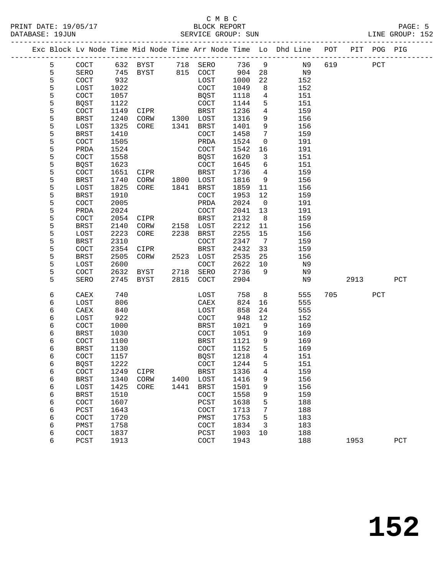#### C M B C<br>BLOCK REPORT PRINT DATE: 19/05/17 BLOCK REPORT PAGE: 5 SERVICE GROUP: SUN

|  |        |              |              |                   |      |                       |              |                 | Exc Block Lv Node Time Mid Node Time Arr Node Time Lo Dhd Line POT |     |      | PIT POG PIG |              |
|--|--------|--------------|--------------|-------------------|------|-----------------------|--------------|-----------------|--------------------------------------------------------------------|-----|------|-------------|--------------|
|  | 5      | COCT         |              | 632 BYST 718 SERO |      |                       | 736          | $\overline{9}$  | N9                                                                 | 619 |      | PCT         |              |
|  | 5      | SERO         |              | 745 BYST 815 COCT |      |                       | 904          | 28              | N9                                                                 |     |      |             |              |
|  | 5      | <b>COCT</b>  | 932          |                   |      | LOST                  | 1000         | 22              | 152                                                                |     |      |             |              |
|  | 5      | LOST         | 1022         |                   |      | <b>COCT</b>           | 1049         | 8               | 152                                                                |     |      |             |              |
|  | 5      | COCT         | 1057         |                   |      | BQST                  | 1118         | $\overline{4}$  | 151                                                                |     |      |             |              |
|  | 5      | <b>BQST</b>  | 1122         |                   |      | COCT                  | 1144         | 5               | 151                                                                |     |      |             |              |
|  | 5      | COCT         | 1149         | CIPR              |      | BRST                  | 1236         | 4               | 159                                                                |     |      |             |              |
|  | 5      | BRST         | 1240         | CORW              |      | 1300 LOST             | 1316         | 9               | 156                                                                |     |      |             |              |
|  | 5      | LOST         | 1325         | CORE              | 1341 | BRST                  | 1401         | 9               | 156                                                                |     |      |             |              |
|  | 5      | BRST         | 1410         |                   |      | COCT                  | 1458         | 7               | 159                                                                |     |      |             |              |
|  | 5      | COCT         | 1505         |                   |      | PRDA                  | 1524         | $\mathsf{O}$    | 191                                                                |     |      |             |              |
|  | 5      | PRDA         | 1524         |                   |      | <b>COCT</b>           | 1542         | 16              | 191                                                                |     |      |             |              |
|  | 5      | COCT         | 1558         |                   |      | BQST                  | 1620         | 3               | 151                                                                |     |      |             |              |
|  | 5      | <b>BQST</b>  | 1623         |                   |      | COCT                  | 1645         | 6               | 151                                                                |     |      |             |              |
|  | 5      | COCT         | 1651         | CIPR              |      | BRST                  | 1736         | $4\overline{4}$ | 159                                                                |     |      |             |              |
|  | 5      | BRST         | 1740         | CORW              | 1800 | LOST                  | 1816         | 9               | 156                                                                |     |      |             |              |
|  | 5      | LOST         | 1825         | CORE              | 1841 | BRST                  | 1859         | 11              | 156                                                                |     |      |             |              |
|  | 5      | BRST         | 1910         |                   |      | COCT                  | 1953         | 12              | 159                                                                |     |      |             |              |
|  | 5      | COCT         | 2005         |                   |      | PRDA                  | 2024         | $\overline{0}$  | 191                                                                |     |      |             |              |
|  | 5      | PRDA         | 2024         |                   |      | COCT                  | 2041         | 13              | 191                                                                |     |      |             |              |
|  | 5      | COCT         | 2054         | CIPR              |      | BRST                  | 2132         | 8 <sup>8</sup>  | 159                                                                |     |      |             |              |
|  | 5      | <b>BRST</b>  | 2140         | CORW              |      | 2158 LOST             | 2212         | 11              | 156                                                                |     |      |             |              |
|  | 5      | LOST         | 2223         | CORE              | 2238 | BRST                  | 2255         | 15              | 156                                                                |     |      |             |              |
|  | 5      | BRST         | 2310         |                   |      | COCT                  | 2347         | $\overline{7}$  | 159                                                                |     |      |             |              |
|  | 5      | COCT         | 2354         | CIPR              |      | BRST                  | 2432         | 33              | 159                                                                |     |      |             |              |
|  | 5      | <b>BRST</b>  | 2505         | CORW              |      | 2523 LOST             | 2535         | 25              | 156                                                                |     |      |             |              |
|  | 5      | LOST         | 2600         |                   |      | COCT                  | 2622         | 10              | N9                                                                 |     |      |             |              |
|  | 5      | <b>COCT</b>  | 2632         | BYST              | 2718 | SERO                  | 2736         | 9               | N9                                                                 |     |      |             |              |
|  | 5      | SERO         | 2745         | BYST              | 2815 | COCT                  | 2904         |                 | N9                                                                 |     | 2913 |             | PCT          |
|  | 6      | CAEX         | 740          |                   |      | LOST                  | 758          | 8               | 555                                                                | 705 |      | PCT         |              |
|  | 6      | LOST         | 806          |                   |      | CAEX                  | 824          | 16              | 555                                                                |     |      |             |              |
|  | 6      | CAEX         | 840          |                   |      | LOST                  | 858          | 24              | 555                                                                |     |      |             |              |
|  | 6      | LOST         | 922          |                   |      | <b>COCT</b>           | 948          | 12              | 152                                                                |     |      |             |              |
|  | 6      | COCT         | 1000         |                   |      | BRST                  | 1021         | 9               | 169                                                                |     |      |             |              |
|  | 6      | BRST         | 1030         |                   |      | COCT                  | 1051         | 9               | 169                                                                |     |      |             |              |
|  | 6      | COCT         | 1100         |                   |      | BRST                  | 1121         | 9               | 169                                                                |     |      |             |              |
|  | 6      | <b>BRST</b>  | 1130         |                   |      | COCT                  | 1152         | 5               | 169                                                                |     |      |             |              |
|  | 6      | COCT         | 1157         |                   |      | <b>BQST</b>           | 1218         | $\overline{4}$  | 151                                                                |     |      |             |              |
|  | 6      | BQST         | 1222         |                   |      | $\operatorname{COCT}$ | 1244         | 5               | 151                                                                |     |      |             |              |
|  | 6      | COCT         | 1249         | CIPR              |      | <b>BRST</b>           | 1336         | 4               | 159                                                                |     |      |             |              |
|  | 6      | <b>BRST</b>  | 1340         | CORW              | 1400 | LOST                  | 1416         | 9               | 156                                                                |     |      |             |              |
|  | 6      | LOST         | 1425         | CORE              | 1441 | BRST                  | 1501         | 9               | 156                                                                |     |      |             |              |
|  | 6      | <b>BRST</b>  | 1510         |                   |      | COCT                  | 1558         | 9               | 159                                                                |     |      |             |              |
|  | 6<br>6 | COCT<br>PCST | 1607         |                   |      | PCST                  | 1638         | 5<br>7          | 188<br>188                                                         |     |      |             |              |
|  | 6      | COCT         | 1643<br>1720 |                   |      | COCT<br>PMST          | 1713<br>1753 | 5               | 183                                                                |     |      |             |              |
|  | 6      | PMST         | 1758         |                   |      | COCT                  | 1834         | 3               | 183                                                                |     |      |             |              |
|  | 6      | COCT         | 1837         |                   |      | PCST                  | 1903         | 10              | 188                                                                |     |      |             |              |
|  | 6      | PCST         | 1913         |                   |      | COCT                  | 1943         |                 | 188                                                                |     | 1953 |             | $_{\rm PCT}$ |
|  |        |              |              |                   |      |                       |              |                 |                                                                    |     |      |             |              |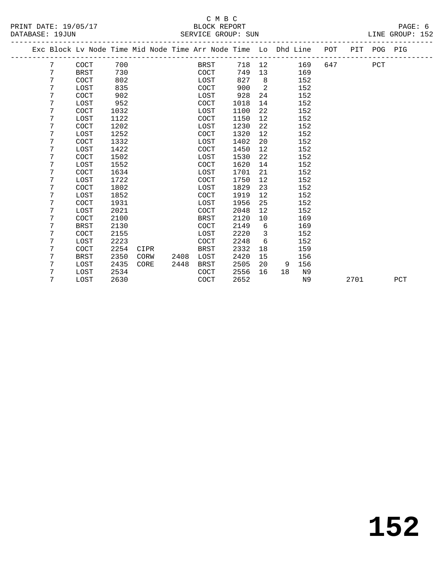| Exc Block Lv Node Time Mid Node Time Arr Node Time Lo Dhd Line POT<br>PIT POG PIG<br>700<br>7<br><b>COCT</b><br>718<br>12<br>169<br>647<br>PCT<br>BRST<br>7<br>730<br>749<br>169<br><b>BRST</b><br><b>COCT</b><br>13<br>7<br>827<br>802<br>8<br>152<br>COCT<br>LOST<br>2<br>7<br>835<br>900<br>LOST<br><b>COCT</b><br>152<br>7<br><b>COCT</b><br>902<br>928<br>152<br>LOST<br>24<br>7<br>952<br>152<br><b>COCT</b><br>1018<br>14<br>LOST<br>7<br>1032<br>22<br><b>COCT</b><br>1100<br>152<br>LOST<br>7<br>152<br>LOST<br>1122<br>COCT<br>1150<br>12<br>7<br>1202<br>1230<br>22<br>152<br>COCT<br>LOST<br>7<br>1252<br>1320<br>LOST<br><b>COCT</b><br>12<br>152<br>7<br><b>COCT</b><br>1332<br>1402<br>20<br>152<br>LOST<br>7<br>1422<br>1450<br>152<br>COCT<br>12<br>LOST<br>7<br>22<br>152<br><b>COCT</b><br>1502<br>LOST<br>1530<br>7<br>1552<br>152<br>LOST<br>COCT<br>1620<br>14<br>1634<br>1701<br>7<br>21<br>152<br>COCT<br>LOST<br>7<br>1722<br>1750<br>152<br>LOST<br><b>COCT</b><br>12<br>7<br><b>COCT</b><br>1802<br>1829<br>23<br>152<br>LOST<br>7<br>1852<br>1919<br>12<br>152<br>LOST<br>COCT<br>7<br>1931<br>1956<br>25<br>152<br><b>COCT</b><br>LOST<br>7<br>2021<br>2048<br>152<br>LOST<br>COCT<br>12<br>7<br>2100<br>2120<br><b>COCT</b><br>10<br>169<br><b>BRST</b><br>7<br>2130<br>2149<br>6<br>169<br><b>BRST</b><br>COCT<br>7<br>2220<br><b>COCT</b><br>2155<br>LOST<br>3<br>152<br>6<br>7<br>2223<br>COCT<br>2248<br>152<br>LOST<br>7<br>2254<br>2332<br>18<br>COCT<br><b>BRST</b><br>159<br>CIPR<br>7<br>2350<br>2420<br>156<br>BRST<br>CORW<br>2408<br>LOST<br>15<br>7<br>2435<br>2505<br>CORE<br>2448<br><b>BRST</b><br>20<br>156<br>LOST<br>9<br>7<br>2534<br>2556<br>16<br>LOST<br>COCT<br>18<br>N9<br>7<br>2630<br>2652<br>LOST<br>COCT<br>N <sub>9</sub><br>2701<br>PCT |  |  |  |  |  |  |  |  |
|------------------------------------------------------------------------------------------------------------------------------------------------------------------------------------------------------------------------------------------------------------------------------------------------------------------------------------------------------------------------------------------------------------------------------------------------------------------------------------------------------------------------------------------------------------------------------------------------------------------------------------------------------------------------------------------------------------------------------------------------------------------------------------------------------------------------------------------------------------------------------------------------------------------------------------------------------------------------------------------------------------------------------------------------------------------------------------------------------------------------------------------------------------------------------------------------------------------------------------------------------------------------------------------------------------------------------------------------------------------------------------------------------------------------------------------------------------------------------------------------------------------------------------------------------------------------------------------------------------------------------------------------------------------------------------------------------------------------------------------------------------------------------------------------------|--|--|--|--|--|--|--|--|
|                                                                                                                                                                                                                                                                                                                                                                                                                                                                                                                                                                                                                                                                                                                                                                                                                                                                                                                                                                                                                                                                                                                                                                                                                                                                                                                                                                                                                                                                                                                                                                                                                                                                                                                                                                                                      |  |  |  |  |  |  |  |  |
|                                                                                                                                                                                                                                                                                                                                                                                                                                                                                                                                                                                                                                                                                                                                                                                                                                                                                                                                                                                                                                                                                                                                                                                                                                                                                                                                                                                                                                                                                                                                                                                                                                                                                                                                                                                                      |  |  |  |  |  |  |  |  |
|                                                                                                                                                                                                                                                                                                                                                                                                                                                                                                                                                                                                                                                                                                                                                                                                                                                                                                                                                                                                                                                                                                                                                                                                                                                                                                                                                                                                                                                                                                                                                                                                                                                                                                                                                                                                      |  |  |  |  |  |  |  |  |
|                                                                                                                                                                                                                                                                                                                                                                                                                                                                                                                                                                                                                                                                                                                                                                                                                                                                                                                                                                                                                                                                                                                                                                                                                                                                                                                                                                                                                                                                                                                                                                                                                                                                                                                                                                                                      |  |  |  |  |  |  |  |  |
|                                                                                                                                                                                                                                                                                                                                                                                                                                                                                                                                                                                                                                                                                                                                                                                                                                                                                                                                                                                                                                                                                                                                                                                                                                                                                                                                                                                                                                                                                                                                                                                                                                                                                                                                                                                                      |  |  |  |  |  |  |  |  |
|                                                                                                                                                                                                                                                                                                                                                                                                                                                                                                                                                                                                                                                                                                                                                                                                                                                                                                                                                                                                                                                                                                                                                                                                                                                                                                                                                                                                                                                                                                                                                                                                                                                                                                                                                                                                      |  |  |  |  |  |  |  |  |
|                                                                                                                                                                                                                                                                                                                                                                                                                                                                                                                                                                                                                                                                                                                                                                                                                                                                                                                                                                                                                                                                                                                                                                                                                                                                                                                                                                                                                                                                                                                                                                                                                                                                                                                                                                                                      |  |  |  |  |  |  |  |  |
|                                                                                                                                                                                                                                                                                                                                                                                                                                                                                                                                                                                                                                                                                                                                                                                                                                                                                                                                                                                                                                                                                                                                                                                                                                                                                                                                                                                                                                                                                                                                                                                                                                                                                                                                                                                                      |  |  |  |  |  |  |  |  |
|                                                                                                                                                                                                                                                                                                                                                                                                                                                                                                                                                                                                                                                                                                                                                                                                                                                                                                                                                                                                                                                                                                                                                                                                                                                                                                                                                                                                                                                                                                                                                                                                                                                                                                                                                                                                      |  |  |  |  |  |  |  |  |
|                                                                                                                                                                                                                                                                                                                                                                                                                                                                                                                                                                                                                                                                                                                                                                                                                                                                                                                                                                                                                                                                                                                                                                                                                                                                                                                                                                                                                                                                                                                                                                                                                                                                                                                                                                                                      |  |  |  |  |  |  |  |  |
|                                                                                                                                                                                                                                                                                                                                                                                                                                                                                                                                                                                                                                                                                                                                                                                                                                                                                                                                                                                                                                                                                                                                                                                                                                                                                                                                                                                                                                                                                                                                                                                                                                                                                                                                                                                                      |  |  |  |  |  |  |  |  |
|                                                                                                                                                                                                                                                                                                                                                                                                                                                                                                                                                                                                                                                                                                                                                                                                                                                                                                                                                                                                                                                                                                                                                                                                                                                                                                                                                                                                                                                                                                                                                                                                                                                                                                                                                                                                      |  |  |  |  |  |  |  |  |
|                                                                                                                                                                                                                                                                                                                                                                                                                                                                                                                                                                                                                                                                                                                                                                                                                                                                                                                                                                                                                                                                                                                                                                                                                                                                                                                                                                                                                                                                                                                                                                                                                                                                                                                                                                                                      |  |  |  |  |  |  |  |  |
|                                                                                                                                                                                                                                                                                                                                                                                                                                                                                                                                                                                                                                                                                                                                                                                                                                                                                                                                                                                                                                                                                                                                                                                                                                                                                                                                                                                                                                                                                                                                                                                                                                                                                                                                                                                                      |  |  |  |  |  |  |  |  |
|                                                                                                                                                                                                                                                                                                                                                                                                                                                                                                                                                                                                                                                                                                                                                                                                                                                                                                                                                                                                                                                                                                                                                                                                                                                                                                                                                                                                                                                                                                                                                                                                                                                                                                                                                                                                      |  |  |  |  |  |  |  |  |
|                                                                                                                                                                                                                                                                                                                                                                                                                                                                                                                                                                                                                                                                                                                                                                                                                                                                                                                                                                                                                                                                                                                                                                                                                                                                                                                                                                                                                                                                                                                                                                                                                                                                                                                                                                                                      |  |  |  |  |  |  |  |  |
|                                                                                                                                                                                                                                                                                                                                                                                                                                                                                                                                                                                                                                                                                                                                                                                                                                                                                                                                                                                                                                                                                                                                                                                                                                                                                                                                                                                                                                                                                                                                                                                                                                                                                                                                                                                                      |  |  |  |  |  |  |  |  |
|                                                                                                                                                                                                                                                                                                                                                                                                                                                                                                                                                                                                                                                                                                                                                                                                                                                                                                                                                                                                                                                                                                                                                                                                                                                                                                                                                                                                                                                                                                                                                                                                                                                                                                                                                                                                      |  |  |  |  |  |  |  |  |
|                                                                                                                                                                                                                                                                                                                                                                                                                                                                                                                                                                                                                                                                                                                                                                                                                                                                                                                                                                                                                                                                                                                                                                                                                                                                                                                                                                                                                                                                                                                                                                                                                                                                                                                                                                                                      |  |  |  |  |  |  |  |  |
|                                                                                                                                                                                                                                                                                                                                                                                                                                                                                                                                                                                                                                                                                                                                                                                                                                                                                                                                                                                                                                                                                                                                                                                                                                                                                                                                                                                                                                                                                                                                                                                                                                                                                                                                                                                                      |  |  |  |  |  |  |  |  |
|                                                                                                                                                                                                                                                                                                                                                                                                                                                                                                                                                                                                                                                                                                                                                                                                                                                                                                                                                                                                                                                                                                                                                                                                                                                                                                                                                                                                                                                                                                                                                                                                                                                                                                                                                                                                      |  |  |  |  |  |  |  |  |
|                                                                                                                                                                                                                                                                                                                                                                                                                                                                                                                                                                                                                                                                                                                                                                                                                                                                                                                                                                                                                                                                                                                                                                                                                                                                                                                                                                                                                                                                                                                                                                                                                                                                                                                                                                                                      |  |  |  |  |  |  |  |  |
|                                                                                                                                                                                                                                                                                                                                                                                                                                                                                                                                                                                                                                                                                                                                                                                                                                                                                                                                                                                                                                                                                                                                                                                                                                                                                                                                                                                                                                                                                                                                                                                                                                                                                                                                                                                                      |  |  |  |  |  |  |  |  |
|                                                                                                                                                                                                                                                                                                                                                                                                                                                                                                                                                                                                                                                                                                                                                                                                                                                                                                                                                                                                                                                                                                                                                                                                                                                                                                                                                                                                                                                                                                                                                                                                                                                                                                                                                                                                      |  |  |  |  |  |  |  |  |
|                                                                                                                                                                                                                                                                                                                                                                                                                                                                                                                                                                                                                                                                                                                                                                                                                                                                                                                                                                                                                                                                                                                                                                                                                                                                                                                                                                                                                                                                                                                                                                                                                                                                                                                                                                                                      |  |  |  |  |  |  |  |  |
|                                                                                                                                                                                                                                                                                                                                                                                                                                                                                                                                                                                                                                                                                                                                                                                                                                                                                                                                                                                                                                                                                                                                                                                                                                                                                                                                                                                                                                                                                                                                                                                                                                                                                                                                                                                                      |  |  |  |  |  |  |  |  |
|                                                                                                                                                                                                                                                                                                                                                                                                                                                                                                                                                                                                                                                                                                                                                                                                                                                                                                                                                                                                                                                                                                                                                                                                                                                                                                                                                                                                                                                                                                                                                                                                                                                                                                                                                                                                      |  |  |  |  |  |  |  |  |
|                                                                                                                                                                                                                                                                                                                                                                                                                                                                                                                                                                                                                                                                                                                                                                                                                                                                                                                                                                                                                                                                                                                                                                                                                                                                                                                                                                                                                                                                                                                                                                                                                                                                                                                                                                                                      |  |  |  |  |  |  |  |  |
|                                                                                                                                                                                                                                                                                                                                                                                                                                                                                                                                                                                                                                                                                                                                                                                                                                                                                                                                                                                                                                                                                                                                                                                                                                                                                                                                                                                                                                                                                                                                                                                                                                                                                                                                                                                                      |  |  |  |  |  |  |  |  |
|                                                                                                                                                                                                                                                                                                                                                                                                                                                                                                                                                                                                                                                                                                                                                                                                                                                                                                                                                                                                                                                                                                                                                                                                                                                                                                                                                                                                                                                                                                                                                                                                                                                                                                                                                                                                      |  |  |  |  |  |  |  |  |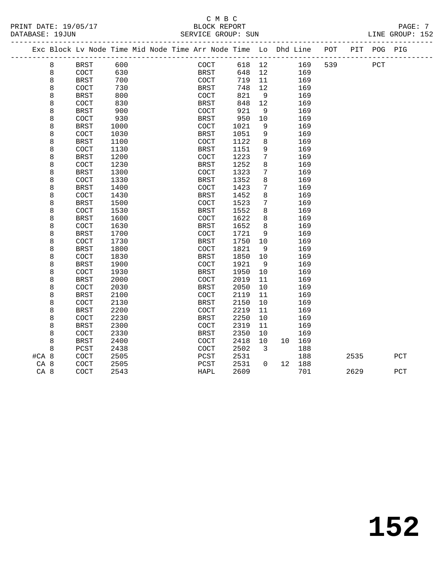| PRINT DATE: 19/05/17 | BLOCK REPORT            | PAGE:              |
|----------------------|-------------------------|--------------------|
| DATABASE: 19JUN      | SUN<br>SERVICE GROUP: 5 | GROUP: 152<br>LINE |

|                 |   | Exc Block Lv Node Time Mid Node Time Arr Node Time Lo Dhd Line |      |  |                      |      |                         |                 |        | POT |      | PIT POG PIG |     |
|-----------------|---|----------------------------------------------------------------|------|--|----------------------|------|-------------------------|-----------------|--------|-----|------|-------------|-----|
|                 | 8 | <b>BRST</b>                                                    | 600  |  | COCT                 | 618  | 12                      |                 | 169    | 539 |      | PCT         |     |
|                 | 8 | COCT                                                           | 630  |  | BRST                 | 648  | 12                      |                 | 169    |     |      |             |     |
|                 | 8 | <b>BRST</b>                                                    | 700  |  | $\operatorname{COT}$ | 719  | 11                      |                 | 169    |     |      |             |     |
|                 | 8 | COCT                                                           | 730  |  | BRST                 | 748  | 12                      |                 | 169    |     |      |             |     |
|                 | 8 | <b>BRST</b>                                                    | 800  |  | COCT                 | 821  | $\overline{9}$          |                 | 169    |     |      |             |     |
|                 | 8 | COCT                                                           | 830  |  | <b>BRST</b>          | 848  | 12                      |                 | 169    |     |      |             |     |
|                 | 8 | <b>BRST</b>                                                    | 900  |  | COCT                 | 921  | 9                       |                 | 169    |     |      |             |     |
|                 | 8 | COCT                                                           | 930  |  | <b>BRST</b>          | 950  | 10                      |                 | 169    |     |      |             |     |
|                 | 8 | <b>BRST</b>                                                    | 1000 |  | COCT                 | 1021 | 9                       |                 | 169    |     |      |             |     |
|                 | 8 | COCT                                                           | 1030 |  | <b>BRST</b>          | 1051 | 9                       |                 | 169    |     |      |             |     |
|                 | 8 | <b>BRST</b>                                                    | 1100 |  | COCT                 | 1122 | 8                       |                 | 169    |     |      |             |     |
|                 | 8 | COCT                                                           | 1130 |  | <b>BRST</b>          | 1151 | 9                       |                 | 169    |     |      |             |     |
|                 | 8 | <b>BRST</b>                                                    | 1200 |  | COCT                 | 1223 | 7                       |                 | 169    |     |      |             |     |
|                 | 8 | COCT                                                           | 1230 |  | BRST                 | 1252 | 8                       |                 | 169    |     |      |             |     |
|                 | 8 | <b>BRST</b>                                                    | 1300 |  | $\operatorname{COT}$ | 1323 | 7                       |                 | 169    |     |      |             |     |
|                 | 8 | COCT                                                           | 1330 |  | <b>BRST</b>          | 1352 | 8                       |                 | 169    |     |      |             |     |
|                 | 8 | <b>BRST</b>                                                    | 1400 |  | COCT                 | 1423 | 7                       |                 | 169    |     |      |             |     |
|                 | 8 | COCT                                                           | 1430 |  | <b>BRST</b>          | 1452 | 8                       |                 | 169    |     |      |             |     |
|                 | 8 | <b>BRST</b>                                                    | 1500 |  | COCT                 | 1523 | 7                       |                 | 169    |     |      |             |     |
|                 | 8 | COCT                                                           | 1530 |  | BRST                 | 1552 | 8                       |                 | 169    |     |      |             |     |
|                 | 8 | <b>BRST</b>                                                    | 1600 |  | COCT                 | 1622 | 8                       |                 | 169    |     |      |             |     |
|                 | 8 | COCT                                                           | 1630 |  | BRST                 | 1652 | 8                       |                 | 169    |     |      |             |     |
|                 | 8 | <b>BRST</b>                                                    | 1700 |  | COCT                 | 1721 | 9                       |                 | 169    |     |      |             |     |
|                 | 8 | COCT                                                           | 1730 |  | <b>BRST</b>          | 1750 | 10                      |                 | 169    |     |      |             |     |
|                 | 8 | <b>BRST</b>                                                    | 1800 |  | $\operatorname{COT}$ | 1821 | 9                       |                 | 169    |     |      |             |     |
|                 | 8 | COCT                                                           | 1830 |  | BRST                 | 1850 | 10                      |                 | 169    |     |      |             |     |
|                 | 8 | <b>BRST</b>                                                    | 1900 |  | COCT                 | 1921 | - 9                     |                 | 169    |     |      |             |     |
|                 | 8 | COCT                                                           | 1930 |  | <b>BRST</b>          | 1950 | 10                      |                 | 169    |     |      |             |     |
|                 | 8 | <b>BRST</b>                                                    | 2000 |  | COCT                 | 2019 | 11                      |                 | 169    |     |      |             |     |
|                 | 8 | COCT                                                           | 2030 |  | BRST                 | 2050 | 10                      |                 | 169    |     |      |             |     |
|                 | 8 | <b>BRST</b>                                                    | 2100 |  | COCT                 | 2119 | 11                      |                 | 169    |     |      |             |     |
|                 | 8 | COCT                                                           | 2130 |  | BRST                 | 2150 | 10                      |                 | 169    |     |      |             |     |
|                 | 8 | <b>BRST</b>                                                    | 2200 |  | COCT                 | 2219 | 11                      |                 | 169    |     |      |             |     |
|                 | 8 | COCT                                                           | 2230 |  | <b>BRST</b>          | 2250 | 10                      |                 | 169    |     |      |             |     |
|                 | 8 | <b>BRST</b>                                                    | 2300 |  | COCT                 | 2319 | 11                      |                 | 169    |     |      |             |     |
|                 | 8 | COCT                                                           | 2330 |  | BRST                 | 2350 | 10                      |                 | 169    |     |      |             |     |
|                 | 8 | <b>BRST</b>                                                    | 2400 |  | COCT                 | 2418 | 10                      |                 | 10 169 |     |      |             |     |
|                 | 8 | PCST                                                           | 2438 |  | COCT                 | 2502 | $\overline{\mathbf{3}}$ |                 | 188    |     |      |             |     |
| #CA 8           |   | COCT                                                           | 2505 |  | PCST                 | 2531 |                         |                 | 188    |     | 2535 |             | PCT |
| CA 8            |   | COCT                                                           | 2505 |  | PCST                 | 2531 | $\Omega$                | 12 <sup>°</sup> | 188    |     |      |             |     |
| CA <sub>8</sub> |   | COCT                                                           | 2543 |  | <b>HAPL</b>          | 2609 |                         |                 | 701    |     | 2629 |             | PCT |
|                 |   |                                                                |      |  |                      |      |                         |                 |        |     |      |             |     |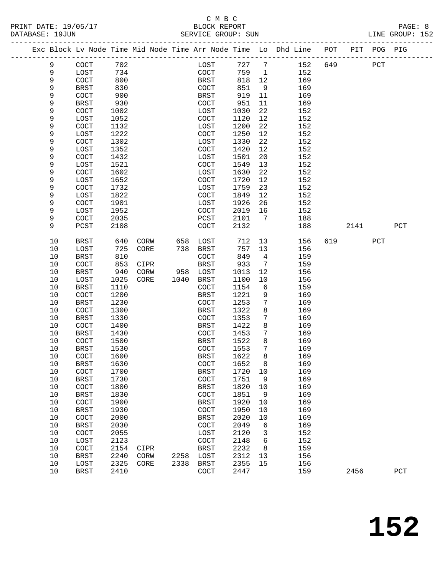#### C M B C<br>BLOCK REPORT PRINT DATE: 19/05/17 BLOCK REPORT PAGE: 8 SERVICE GROUP: SUN

|             | Exc Block Lv Node Time Mid Node Time Arr Node Time Lo Dhd Line POT |              |      |      |                       |              |                 |            |     |      | PIT POG PIG |             |
|-------------|--------------------------------------------------------------------|--------------|------|------|-----------------------|--------------|-----------------|------------|-----|------|-------------|-------------|
| 9           | COCT                                                               | 702          |      |      | LOST                  | 727          | $7\phantom{.0}$ | 152        | 649 |      | PCT         |             |
| 9           | LOST                                                               | 734          |      |      | COCT                  | 759          | $\mathbf{1}$    | 152        |     |      |             |             |
| $\mathsf 9$ | COCT                                                               | 800          |      |      | <b>BRST</b>           | 818          | 12              | 169        |     |      |             |             |
| 9           | <b>BRST</b>                                                        | 830          |      |      | COCT                  | 851          | 9               | 169        |     |      |             |             |
| 9           | COCT                                                               | 900          |      |      | BRST                  | 919          | 11              | 169        |     |      |             |             |
| 9           | <b>BRST</b>                                                        | 930          |      |      | COCT                  | 951          | 11              | 169        |     |      |             |             |
| 9           | COCT                                                               | 1002         |      |      | LOST                  | 1030         | 22              | 152        |     |      |             |             |
| 9           | LOST                                                               | 1052         |      |      | COCT                  | 1120         | 12              | 152        |     |      |             |             |
| 9           | COCT                                                               | 1132         |      |      | LOST                  | 1200         | 22              | 152        |     |      |             |             |
| 9           | LOST                                                               | 1222         |      |      | COCT                  | 1250         | 12              | 152        |     |      |             |             |
| 9           | COCT                                                               | 1302         |      |      | LOST                  | 1330         | 22              | 152        |     |      |             |             |
| 9           | LOST                                                               | 1352         |      |      | COCT                  | 1420         | 12              | 152        |     |      |             |             |
| 9           | COCT                                                               | 1432         |      |      | LOST                  | 1501         | 20              | 152        |     |      |             |             |
| 9           | LOST                                                               | 1521         |      |      | COCT                  | 1549         | 13              | 152        |     |      |             |             |
| 9           | COCT                                                               | 1602         |      |      | LOST                  | 1630         | 22              | 152        |     |      |             |             |
| 9           | LOST                                                               | 1652         |      |      | COCT                  | 1720         | 12              | 152        |     |      |             |             |
| 9           | COCT                                                               | 1732         |      |      | LOST                  | 1759         | 23              | 152        |     |      |             |             |
| 9           | LOST                                                               | 1822         |      |      | COCT                  | 1849         | 12              | 152        |     |      |             |             |
| 9           | COCT                                                               | 1901         |      |      | LOST                  | 1926         | 26              | 152        |     |      |             |             |
| 9           | LOST                                                               | 1952         |      |      | COCT                  | 2019         | 16              | 152        |     |      |             |             |
| 9           | $\operatorname{COT}$                                               | 2035         |      |      | PCST                  | 2101         | 7               | 188        |     |      |             |             |
| 9           | PCST                                                               | 2108         |      |      | COCT                  | 2132         |                 | 188        |     | 2141 |             | PCT         |
| 10          | <b>BRST</b>                                                        | 640          | CORW | 658  | LOST                  | 712          | 13              | 156        | 619 |      | PCT         |             |
| $10$        | LOST                                                               | 725          | CORE | 738  | BRST                  | 757          | 13              | 156        |     |      |             |             |
| 10          | <b>BRST</b>                                                        | 810          |      |      | COCT                  | 849          | $\overline{4}$  | 159        |     |      |             |             |
| 10          | COCT                                                               | 853          | CIPR |      | <b>BRST</b>           | 933          | 7               | 159        |     |      |             |             |
| 10          | <b>BRST</b>                                                        | 940          | CORW | 958  | LOST                  | 1013         | 12              | 156        |     |      |             |             |
| 10          | LOST                                                               | 1025         | CORE | 1040 | BRST                  | 1100         | 10              | 156        |     |      |             |             |
| 10          | BRST                                                               | 1110         |      |      | <b>COCT</b>           | 1154         | 6               | 159        |     |      |             |             |
| 10          | COCT                                                               | 1200         |      |      | BRST                  | 1221         | 9               | 169        |     |      |             |             |
| 10          | <b>BRST</b>                                                        | 1230         |      |      | COCT                  | 1253         | $7\phantom{.0}$ | 169        |     |      |             |             |
| 10          | COCT                                                               | 1300         |      |      | BRST                  | 1322         | 8               | 169        |     |      |             |             |
| $10$        | <b>BRST</b>                                                        | 1330         |      |      | COCT                  | 1353         | 7               | 169        |     |      |             |             |
| 10          | COCT                                                               | 1400         |      |      | <b>BRST</b>           | 1422         | 8               | 169        |     |      |             |             |
| 10<br>10    | <b>BRST</b>                                                        | 1430         |      |      | COCT                  | 1453         | 7<br>8          | 169        |     |      |             |             |
| 10          | $\operatorname{COCT}$<br>BRST                                      | 1500<br>1530 |      |      | BRST<br><b>COCT</b>   | 1522<br>1553 | 7               | 169<br>169 |     |      |             |             |
| 10          | COCT                                                               | 1600         |      |      | <b>BRST</b>           | 1622         | 8               | 169        |     |      |             |             |
| $10$        | <b>BRST</b>                                                        | 1630         |      |      | COCT                  | 1652 8       |                 | 169        |     |      |             |             |
| 10          | COCT                                                               | 1700         |      |      | <b>BRST</b>           | 1720         | 10              | 169        |     |      |             |             |
| $10$        | <b>BRST</b>                                                        | 1730         |      |      | COCT                  | 1751         | 9               | 169        |     |      |             |             |
| 10          | COCT                                                               | 1800         |      |      | <b>BRST</b>           | 1820         | 10              | 169        |     |      |             |             |
| $10$        | <b>BRST</b>                                                        | 1830         |      |      | COCT                  | 1851         | 9               | 169        |     |      |             |             |
| $10$        | COCT                                                               | 1900         |      |      | <b>BRST</b>           | 1920         | 10              | 169        |     |      |             |             |
| $10$        | <b>BRST</b>                                                        | 1930         |      |      | COCT                  | 1950         | 10              | 169        |     |      |             |             |
| 10          | COCT                                                               | 2000         |      |      | <b>BRST</b>           | 2020         | 10              | 169        |     |      |             |             |
| $10$        | <b>BRST</b>                                                        | 2030         |      |      | $\operatorname{COCT}$ | 2049         | 6               | 169        |     |      |             |             |
| $10$        | COCT                                                               | 2055         |      |      | LOST                  | 2120         | 3               | 152        |     |      |             |             |
| $10$        | LOST                                                               | 2123         |      |      | COCT                  | 2148         | 6               | 152        |     |      |             |             |
| 10          | COCT                                                               | 2154         | CIPR |      | <b>BRST</b>           | 2232         | 8               | 159        |     |      |             |             |
| 10          | <b>BRST</b>                                                        | 2240         | CORW | 2258 | LOST                  | 2312         | 13              | 156        |     |      |             |             |
| 10          | LOST                                                               | 2325         | CORE | 2338 | <b>BRST</b>           | 2355         | 15              | 156        |     |      |             |             |
| 10          | <b>BRST</b>                                                        | 2410         |      |      | COCT                  | 2447         |                 | 159        |     | 2456 |             | ${\tt PCT}$ |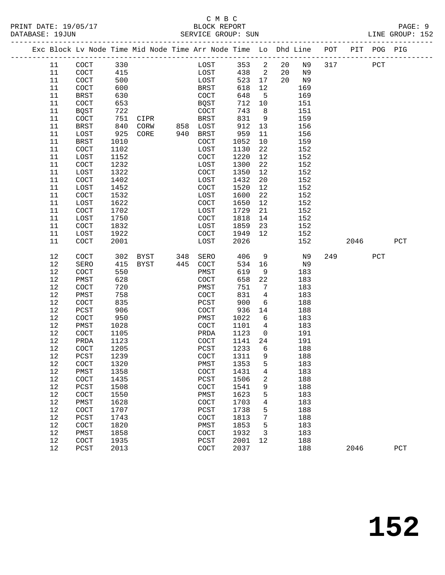#### C M B C<br>BLOCK REPORT PRINT DATE: 19/05/17 BLOCK REPORT PAGE: 9 SERVICE GROUP: SUN

|  |          |                       |              |      |     | Exc Block Lv Node Time Mid Node Time Arr Node Time Lo Dhd Line |              |                         |    |            | POT | PIT  | POG PIG |     |
|--|----------|-----------------------|--------------|------|-----|----------------------------------------------------------------|--------------|-------------------------|----|------------|-----|------|---------|-----|
|  | 11       | $\operatorname{COT}$  | 330          |      |     | LOST                                                           | 353          | $\overline{\mathbf{c}}$ | 20 | N9         | 317 |      | PCT     |     |
|  | 11       | $\operatorname{COT}$  | 415          |      |     | LOST                                                           | 438          | $\overline{\mathbf{c}}$ | 20 | N9         |     |      |         |     |
|  | 11       | $\operatorname{COT}$  | 500          |      |     | LOST                                                           | 523          | 17                      | 20 | N9         |     |      |         |     |
|  | 11       | COCT                  | 600          |      |     | BRST                                                           | 618          | 12                      |    | 169        |     |      |         |     |
|  | 11       | <b>BRST</b>           | 630          |      |     | $\operatorname{COT}$                                           | 648          | 5                       |    | 169        |     |      |         |     |
|  | 11       | COCT                  | 653          |      |     | <b>BQST</b>                                                    | 712          | 10                      |    | 151        |     |      |         |     |
|  | 11       | <b>BQST</b>           | 722          |      |     | $\operatorname{COT}$                                           | 743          | 8                       |    | 151        |     |      |         |     |
|  | 11       | COCT                  | 751          | CIPR |     | BRST                                                           | 831          | 9                       |    | 159        |     |      |         |     |
|  | 11       | <b>BRST</b>           | 840          | CORW | 858 | LOST                                                           | 912          | 13                      |    | 156        |     |      |         |     |
|  | 11       | LOST                  | 925          | CORE | 940 | <b>BRST</b>                                                    | 959          | 11                      |    | 156        |     |      |         |     |
|  | 11       | BRST                  | 1010         |      |     | $\operatorname{COT}$                                           | 1052         | 10                      |    | 159        |     |      |         |     |
|  | 11       | COCT                  | 1102         |      |     | LOST                                                           | 1130         | 22                      |    | 152        |     |      |         |     |
|  | 11       | LOST                  | 1152         |      |     | $\operatorname{COT}$                                           | 1220         | 12                      |    | 152        |     |      |         |     |
|  | 11       | COCT                  | 1232         |      |     | LOST                                                           | 1300         | 22                      |    | 152        |     |      |         |     |
|  | 11       | LOST                  | 1322         |      |     | $\operatorname{COT}$                                           | 1350         | 12                      |    | 152        |     |      |         |     |
|  | 11       | COCT                  | 1402         |      |     | LOST                                                           | 1432         | 20                      |    | 152        |     |      |         |     |
|  | 11       | LOST                  | 1452         |      |     | COCT                                                           | 1520         | 12                      |    | 152        |     |      |         |     |
|  | 11       | COCT                  | 1532         |      |     | LOST                                                           | 1600         | 22                      |    | 152        |     |      |         |     |
|  | 11       | LOST                  | 1622         |      |     | COCT                                                           | 1650         | 12                      |    | 152        |     |      |         |     |
|  | 11       | COCT                  | 1702         |      |     | LOST                                                           | 1729         | 21                      |    | 152        |     |      |         |     |
|  | 11       | LOST                  | 1750         |      |     | COCT                                                           | 1818         | 14                      |    | 152        |     |      |         |     |
|  | 11       | COCT                  | 1832         |      |     | LOST                                                           | 1859         | 23                      |    | 152        |     |      |         |     |
|  | 11       | LOST                  | 1922         |      |     | COCT                                                           | 1949         | 12                      |    | 152        |     |      |         |     |
|  | 11       | COCT                  | 2001         |      |     | LOST                                                           | 2026         |                         |    | 152        |     | 2046 |         | PCT |
|  | 12       | COCT                  | 302          | BYST | 348 | SERO                                                           | 406          | 9                       |    | N9         | 249 |      | PCT     |     |
|  | 12       | SERO                  | 415          | BYST | 445 | COCT                                                           | 534          | 16                      |    | N9         |     |      |         |     |
|  | 12       | COCT                  | 550          |      |     | PMST                                                           | 619          | 9                       |    | 183        |     |      |         |     |
|  | 12       | PMST                  | 628          |      |     | COCT                                                           | 658          | 22                      |    | 183        |     |      |         |     |
|  | 12       | COCT                  | 720          |      |     | PMST                                                           | 751          | 7                       |    | 183        |     |      |         |     |
|  | 12       | PMST                  | 758          |      |     | COCT                                                           | 831          | $\overline{4}$          |    | 183        |     |      |         |     |
|  | 12       | COCT                  | 835          |      |     | $_{\rm PCST}$                                                  | 900          | 6                       |    | 188        |     |      |         |     |
|  | 12       | PCST                  | 906          |      |     | COCT                                                           | 936          | 14                      |    | 188        |     |      |         |     |
|  | 12       | COCT                  | 950          |      |     | PMST                                                           | 1022         | 6                       |    | 183        |     |      |         |     |
|  | 12       | PMST                  | 1028         |      |     | COCT                                                           | 1101         | $\overline{4}$          |    | 183        |     |      |         |     |
|  | 12       | COCT                  | 1105         |      |     | PRDA                                                           | 1123         | $\overline{0}$          |    | 191        |     |      |         |     |
|  | 12       | PRDA                  | 1123         |      |     | <b>COCT</b>                                                    | 1141         | 24                      |    | 191        |     |      |         |     |
|  | 12<br>12 | COCT                  | 1205<br>1239 |      |     | PCST<br>COCT                                                   | 1233<br>1311 | 6<br>9                  |    | 188<br>188 |     |      |         |     |
|  |          | PCST                  |              |      |     |                                                                |              |                         |    |            |     |      |         |     |
|  | $12$     | $\operatorname{COCT}$ | 1320         |      |     | ${\tt PMST}$                                                   | 1353         | 5 <sub>5</sub>          |    | 183        |     |      |         |     |
|  | 12<br>12 | PMST<br>COCT          | 1358<br>1435 |      |     | COCT<br>PCST                                                   | 1431<br>1506 | 4<br>2                  |    | 183<br>188 |     |      |         |     |
|  | 12       | PCST                  | 1508         |      |     | COCT                                                           | 1541         | 9                       |    | 188        |     |      |         |     |
|  | 12       | COCT                  | 1550         |      |     | PMST                                                           | 1623         | 5                       |    | 183        |     |      |         |     |
|  | 12       | PMST                  | 1628         |      |     | COCT                                                           | 1703         | 4                       |    | 183        |     |      |         |     |
|  | 12       | COCT                  | 1707         |      |     | PCST                                                           | 1738         | 5                       |    | 188        |     |      |         |     |
|  | 12       | PCST                  | 1743         |      |     | COCT                                                           | 1813         | 7                       |    | 188        |     |      |         |     |
|  | 12       | COCT                  | 1820         |      |     | PMST                                                           | 1853         | 5                       |    | 183        |     |      |         |     |
|  | 12       | PMST                  | 1858         |      |     | COCT                                                           | 1932         | 3                       |    | 183        |     |      |         |     |
|  | 12       | COCT                  | 1935         |      |     | PCST                                                           | 2001         | 12                      |    | 188        |     |      |         |     |
|  | 12       | PCST                  | 2013         |      |     | COCT                                                           | 2037         |                         |    | 188        |     | 2046 |         | PCT |
|  |          |                       |              |      |     |                                                                |              |                         |    |            |     |      |         |     |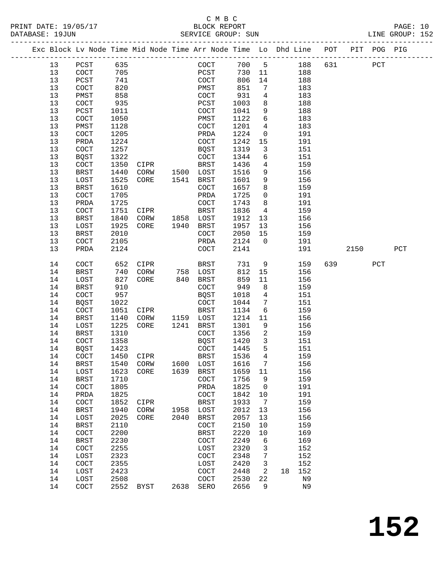## C M B C<br>BLOCK REPORT

------------------------------------------------------------------------------------------------- Exc Block Lv Node Time Mid Node Time Arr Node Time Lo Dhd Line POT PIT POG PIG

LINE GROUP: 152

| 13       | PCST                 | 635       |              |                                             | COCT                 | 700 5            |                          |    | 188            | 631 |      | PCT |              |
|----------|----------------------|-----------|--------------|---------------------------------------------|----------------------|------------------|--------------------------|----|----------------|-----|------|-----|--------------|
| 13       | COCT                 | 705       |              |                                             | PCST                 | 730              | 11                       |    | 188            |     |      |     |              |
| 13       | PCST                 | 741       |              |                                             | COCT                 | 806              | 14                       |    | 188            |     |      |     |              |
| 13       | $\operatorname{COT}$ | 820       |              |                                             | PMST                 | 851              | $7\phantom{.0}$          |    | 183            |     |      |     |              |
| 13       | PMST                 | 858       |              |                                             | COCT                 | 931              | $4\overline{ }$          |    | 183            |     |      |     |              |
| 13       | $\operatorname{COT}$ | 935       |              |                                             | PCST                 | 1003             | 8                        |    | 188            |     |      |     |              |
| 13       | ${\tt PCST}$         | 1011      |              |                                             | COCT                 | 1041             | 9                        |    | 188            |     |      |     |              |
| 13       | $\operatorname{COT}$ | 1050      |              |                                             | PMST                 | 1122             | 6                        |    | 183            |     |      |     |              |
| 13       | PMST                 | 1128      |              |                                             | COCT                 | 1201             | $4\overline{ }$          |    | 183            |     |      |     |              |
| 13       | COCT                 | 1205      |              |                                             | PRDA                 | 1224             | $\overline{0}$           |    | 191            |     |      |     |              |
| 13       | PRDA                 | 1224      |              |                                             | COCT                 | 1242             | 15                       |    | 191            |     |      |     |              |
| 13       | $\operatorname{COT}$ | 1257      |              |                                             | BQST                 | 1319             | $\mathbf{3}$             |    | 151            |     |      |     |              |
| 13       | <b>BQST</b>          | 1322      |              |                                             | COCT                 | 1344             | 6                        |    | 151            |     |      |     |              |
|          |                      | 1350      |              |                                             | BRST                 | 1436             |                          |    | 159            |     |      |     |              |
| 13<br>13 | COCT                 |           | CIPR         |                                             |                      |                  | $4\overline{ }$<br>9     |    |                |     |      |     |              |
|          | <b>BRST</b>          | 1440      | CORW         | 1500 LOST                                   |                      | 1516             |                          |    | 156            |     |      |     |              |
| 13       | LOST                 | 1525      | CORE         | 1541 BRST                                   |                      | 1601             | 9                        |    | 156            |     |      |     |              |
| 13       | BRST                 | 1610      |              |                                             | COCT                 | 1657             | 8                        |    | 159            |     |      |     |              |
| $13$     | $\operatorname{COT}$ | 1705      |              |                                             | PRDA                 | 1725             | $\mathsf{O}$             |    | 191            |     |      |     |              |
| 13       | PRDA                 | 1725      |              |                                             | COCT                 | 1743             | 8                        |    | 191            |     |      |     |              |
| 13       | COCT                 | 1751      | CIPR         |                                             | <b>BRST</b>          | 1836             | 4                        |    | 159            |     |      |     |              |
| 13       | BRST                 | 1840      |              | CORW 1858 LOST                              |                      | 1912             | 13                       |    | 156            |     |      |     |              |
| 13       | LOST                 | 1925      | CORE         | 1940                                        | BRST                 | 1957             | 13                       |    | 156            |     |      |     |              |
| 13       | <b>BRST</b>          | 2010      |              |                                             | $\operatorname{COT}$ | 2050             | 15                       |    | 159            |     |      |     |              |
| 13       | COCT                 | 2105      |              |                                             | PRDA                 | 2124             | $\mathbf 0$              |    | 191            |     |      |     |              |
| 13       | PRDA                 | 2124      |              |                                             | COCT                 | 2141             |                          |    | 191            |     | 2150 |     | $_{\rm PCT}$ |
| 14       | COCT                 | 652       |              |                                             |                      | 731              | 9                        |    | 159            |     | 639  | PCT |              |
| 14       | BRST                 | 740       |              | CIPR BRST<br>CORW 758 LOST<br>CORE 840 BRST |                      | 812              | 15                       |    | 156            |     |      |     |              |
| 14       | LOST                 | 827       |              |                                             |                      | 859              | 11                       |    | 156            |     |      |     |              |
| 14       | <b>BRST</b>          | 910       |              |                                             | COCT                 | 949              | 8                        |    | 159            |     |      |     |              |
| 14       | $\operatorname{COT}$ | 957       |              |                                             | BQST                 | 1018             | $\overline{4}$           |    | 151            |     |      |     |              |
| 14       | <b>BQST</b>          | 1022      |              |                                             | COCT                 | 1044             | $7\overline{ }$          |    | 151            |     |      |     |              |
| 14       | $\operatorname{COT}$ | 1051      | CIPR         |                                             | <b>BRST</b>          | 1134             | 6                        |    | 159            |     |      |     |              |
| 14       | <b>BRST</b>          | 1140      |              | CORW 1159 LOST                              |                      | 1214             | 11                       |    | 156            |     |      |     |              |
| 14       | LOST                 | 1225      | CORE         | 1241                                        | BRST                 | 1301             | 9                        |    | 156            |     |      |     |              |
| 14       | BRST                 | 1310      |              |                                             | COCT                 | 1356             | $\overline{a}$           |    | 159            |     |      |     |              |
| 14       | $\operatorname{COT}$ | 1358      |              |                                             | BQST                 | 1420             | $\mathbf{3}$             |    |                |     |      |     |              |
|          |                      | 1423      |              |                                             | COCT                 | 1445             | 5                        |    | 151            |     |      |     |              |
| 14       | BQST                 | 1450      |              |                                             | BRST                 | 1536             | $\overline{4}$           |    | 151            |     |      |     |              |
| 14<br>14 | COCT<br><b>BRST</b>  | 1540      | CIPR<br>CORW | 1600 LOST                                   |                      | 1616             | $7\overline{ }$          |    | 159<br>156     |     |      |     |              |
|          |                      | 1623      | CORE         |                                             |                      |                  |                          |    |                |     |      |     |              |
| 14       | LOST                 |           |              | 1639 BRST                                   |                      | 1659             | 11                       |    | 156            |     |      |     |              |
| 14       | BRST                 |           |              |                                             |                      | 1710 COCT 1756 9 |                          |    | 159            |     |      |     |              |
| 14       | COCT                 | 1805      |              |                                             | PRDA                 | 1825             | $\overline{\phantom{0}}$ |    | 191            |     |      |     |              |
| 14       | PRDA                 | 1825      |              |                                             | COCT                 | 1842             | 10                       |    | 191            |     |      |     |              |
| 14       | COCT                 | 1852      | CIPR         |                                             | BRST                 | 1933             | $\overline{7}$           |    | 159            |     |      |     |              |
| 14       | <b>BRST</b>          | 1940      | CORW         | 1958                                        | LOST                 | 2012             | 13                       |    | 156            |     |      |     |              |
| 14       | LOST                 | 2025      | CORE         | 2040                                        | BRST                 | 2057             | 13                       |    | 156            |     |      |     |              |
| 14       | <b>BRST</b>          | 2110      |              |                                             | COCT                 | 2150             | 10                       |    | 159            |     |      |     |              |
| 14       | COCT                 | 2200      |              |                                             | BRST                 | 2220             | 10                       |    | 169            |     |      |     |              |
| 14       | <b>BRST</b>          | 2230      |              |                                             | COCT                 | 2249             | 6                        |    | 169            |     |      |     |              |
| 14       | COCT                 | 2255      |              |                                             | LOST                 | 2320             | 3                        |    | 152            |     |      |     |              |
| 14       | LOST                 | 2323      |              |                                             | $\operatorname{COT}$ | 2348             | 7                        |    | 152            |     |      |     |              |
| 14       | COCT                 | 2355      |              |                                             | LOST                 | 2420             | $\mathbf{3}$             |    | 152            |     |      |     |              |
| 14       | LOST                 | 2423      |              |                                             | $\operatorname{COT}$ | 2448             | 2                        | 18 | 152            |     |      |     |              |
| 14       | LOST                 | 2508      |              |                                             | $\operatorname{COT}$ | 2530             | 22                       |    | N9             |     |      |     |              |
| 14       | COCT                 | 2552 BYST |              | 2638                                        | SERO                 | 2656             | 9                        |    | N <sub>9</sub> |     |      |     |              |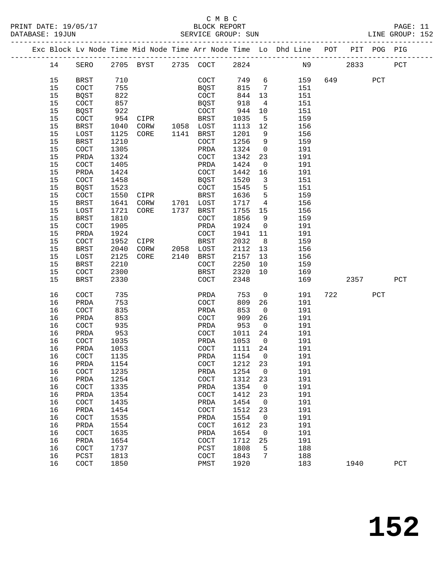|  |          |                      |              |                     |      |                          |              |                         | Exc Block Lv Node Time Mid Node Time Arr Node Time Lo Dhd Line POT PIT POG PIG |     |      |     |              |
|--|----------|----------------------|--------------|---------------------|------|--------------------------|--------------|-------------------------|--------------------------------------------------------------------------------|-----|------|-----|--------------|
|  | 14       | SERO                 |              | 2705 BYST 2735 COCT |      |                          | 2824         |                         |                                                                                | N9  | 2833 |     | $_{\rm PCT}$ |
|  | 15       | BRST                 | 710          |                     |      | COCT                     | 749 6        |                         | 159                                                                            | 649 |      | PCT |              |
|  | 15       | <b>COCT</b>          | 755          |                     |      | BQST                     | 815          | $\overline{7}$          | 151                                                                            |     |      |     |              |
|  | 15       | BQST                 | 822          |                     |      | COCT                     | 844          | 13                      | 151                                                                            |     |      |     |              |
|  | 15       | COCT                 | 857          |                     |      | BQST                     | 918          | 4                       | 151                                                                            |     |      |     |              |
|  | 15       | <b>BQST</b>          | 922          |                     |      | COCT                     | 944          | 10                      | 151                                                                            |     |      |     |              |
|  | 15       | COCT                 | 954          | CIPR                |      | BRST                     | 1035         | 5                       | 159                                                                            |     |      |     |              |
|  | 15       | BRST                 | 1040         | CORW                |      | 1058 LOST                | 1113         | 12                      | 156                                                                            |     |      |     |              |
|  | 15       | LOST                 | 1125         | CORE                |      | 1141 BRST                | 1201         | 9                       | 156                                                                            |     |      |     |              |
|  | 15       | BRST                 | 1210         |                     |      | COCT                     | 1256         | 9                       | 159                                                                            |     |      |     |              |
|  | 15       | COCT                 | 1305         |                     |      | PRDA                     | 1324         | $\overline{0}$          | 191                                                                            |     |      |     |              |
|  | 15       | PRDA                 | 1324         |                     |      | COCT                     | 1342         | 23                      | 191                                                                            |     |      |     |              |
|  | 15       | COCT                 | 1405         |                     |      | PRDA                     | 1424         | $\overline{0}$          | 191                                                                            |     |      |     |              |
|  | 15       |                      | 1424         |                     |      | COCT                     | 1442         | 16                      | 191                                                                            |     |      |     |              |
|  |          | PRDA                 |              |                     |      |                          |              |                         |                                                                                |     |      |     |              |
|  | 15       | $\operatorname{COT}$ | 1458         |                     |      | <b>BQST</b>              | 1520         | $\overline{\mathbf{3}}$ | 151                                                                            |     |      |     |              |
|  | 15       | BQST                 | 1523         |                     |      | COCT                     | 1545         | 5                       | 151                                                                            |     |      |     |              |
|  | 15       | COCT                 | 1550         | CIPR                |      | BRST                     | 1636         | 5                       | 159                                                                            |     |      |     |              |
|  | 15<br>15 | BRST                 | 1641         | CORW<br>CORE        | 1737 | 1701 LOST                | 1717         | $\overline{4}$          | 156                                                                            |     |      |     |              |
|  |          | LOST                 | 1721         |                     |      | BRST                     | 1755         | 15                      | 156                                                                            |     |      |     |              |
|  | 15       | <b>BRST</b>          | 1810         |                     |      | <b>COCT</b>              | 1856         | 9                       | 159                                                                            |     |      |     |              |
|  | 15       | COCT                 | 1905         |                     |      | PRDA                     | 1924         | $\overline{0}$          | 191                                                                            |     |      |     |              |
|  | 15       | PRDA                 | 1924         |                     |      | COCT                     | 1941         | 11                      | 191                                                                            |     |      |     |              |
|  | 15       | COCT                 | 1952         | CIPR                |      | <b>BRST</b><br>2058 LOST | 2032         | 8 <sup>8</sup>          | 159                                                                            |     |      |     |              |
|  | 15       | BRST                 | 2040         | CORW                |      |                          | 2112         | 13                      | 156                                                                            |     |      |     |              |
|  | 15       | LOST                 | 2125         | CORE                | 2140 | BRST                     | 2157         | 13                      | 156                                                                            |     |      |     |              |
|  | 15<br>15 | <b>BRST</b>          | 2210         |                     |      | COCT                     | 2250<br>2320 | 10<br>10                | 159<br>169                                                                     |     |      |     |              |
|  | 15       | COCT<br>BRST         | 2300<br>2330 |                     |      | BRST<br><b>COCT</b>      | 2348         |                         | 169                                                                            |     | 2357 |     | PCT          |
|  |          |                      |              |                     |      |                          |              |                         |                                                                                |     |      |     |              |
|  | 16       | COCT                 | 735          |                     |      | PRDA                     | 753          | $\overline{0}$          | 191                                                                            | 722 |      | PCT |              |
|  | 16       | PRDA                 | 753          |                     |      | COCT                     | 809          | 26                      | 191                                                                            |     |      |     |              |
|  | 16       | COCT                 | 835          |                     |      | PRDA                     | 853          | $\overline{0}$          | 191                                                                            |     |      |     |              |
|  | 16       | PRDA                 | 853          |                     |      | <b>COCT</b>              | 909          | 26                      | 191                                                                            |     |      |     |              |
|  | 16       | COCT                 | 935          |                     |      | PRDA                     | 953          | $\overline{0}$          | 191                                                                            |     |      |     |              |
|  | 16       | PRDA                 | 953          |                     |      | COCT                     | 1011         | 24                      | 191                                                                            |     |      |     |              |
|  | 16       | COCT                 | 1035         |                     |      | PRDA                     | 1053         | $\overline{0}$          | 191                                                                            |     |      |     |              |
|  | 16       | PRDA                 | 1053         |                     |      | COCT                     | 1111         | 24                      | 191                                                                            |     |      |     |              |
|  | 16       | COCT                 | 1135         |                     |      | PRDA                     | 1154         | $\overline{0}$          | 191                                                                            |     |      |     |              |
|  | 16       | PRDA                 | 1154         |                     |      | COCT                     | 1212 23      |                         | 191                                                                            |     |      |     |              |
|  | 16       | COCT                 | 1235         |                     |      | PRDA                     | 1254         | 0                       | 191                                                                            |     |      |     |              |
|  | 16       | PRDA                 | 1254         |                     |      | COCT                     | 1312         | 23                      | 191                                                                            |     |      |     |              |
|  | 16       | COCT                 | 1335         |                     |      | PRDA                     | 1354         | 0                       | 191                                                                            |     |      |     |              |
|  | 16       | PRDA                 | 1354         |                     |      | COCT                     | 1412         | 23                      | 191                                                                            |     |      |     |              |
|  | 16       | COCT                 | 1435         |                     |      | PRDA                     | 1454         | 0                       | 191                                                                            |     |      |     |              |
|  | 16       | PRDA                 | 1454         |                     |      | COCT                     | 1512         | 23                      | 191                                                                            |     |      |     |              |
|  | 16       | COCT                 | 1535         |                     |      | PRDA                     | 1554         | 0                       | 191                                                                            |     |      |     |              |
|  | 16       | PRDA                 | 1554         |                     |      | COCT                     | 1612         | 23                      | 191                                                                            |     |      |     |              |
|  | 16       | COCT                 | 1635         |                     |      | PRDA                     | 1654         | 0                       | 191                                                                            |     |      |     |              |
|  | 16       | PRDA                 | 1654         |                     |      | COCT                     | 1712         | 25                      | 191                                                                            |     |      |     |              |
|  | 16       | COCT                 | 1737         |                     |      | PCST                     | 1808         | 5                       | 188                                                                            |     |      |     |              |
|  | 16       | PCST                 | 1813         |                     |      | COCT                     | 1843         | 7                       | 188                                                                            |     |      |     |              |
|  | 16       | COCT                 | 1850         |                     |      | PMST                     | 1920         |                         | 183                                                                            |     | 1940 |     | ${\tt PCT}$  |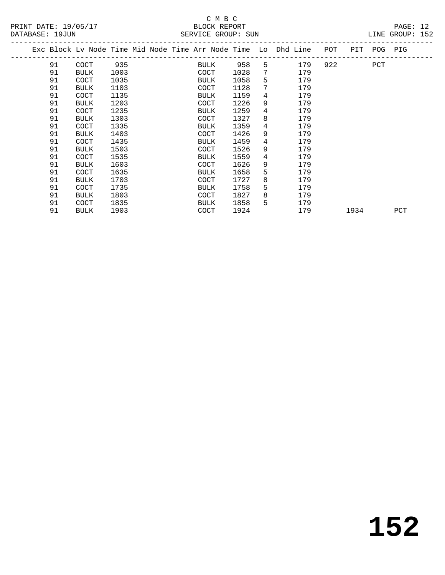## C M B C<br>BLOCK REPORT SERVICE GROUP: SUN

| DAIABASL · 1900N                                               |             |      |  |             |      | PAKATCA GKAAR. PAM |                 |     |                        |             | PIMA GKAAR. TOR |  |
|----------------------------------------------------------------|-------------|------|--|-------------|------|--------------------|-----------------|-----|------------------------|-------------|-----------------|--|
| Exc Block Lv Node Time Mid Node Time Arr Node Time Lo Dhd Line |             |      |  |             |      |                    |                 |     | POT                    | PIT POG PIG |                 |  |
| 91                                                             | COCT        | 935  |  |             | BULK | 958                | 5               | 179 | 922 and $\overline{a}$ | PCT         |                 |  |
| 91                                                             | BULK        | 1003 |  | COCT        |      | 1028               | $7\phantom{.0}$ | 179 |                        |             |                 |  |
| 91                                                             | COCT        | 1035 |  | BULK        |      | 1058               | 5               | 179 |                        |             |                 |  |
| 91                                                             | <b>BULK</b> | 1103 |  | <b>COCT</b> |      | 1128               | 7               | 179 |                        |             |                 |  |
| 91                                                             | COCT        | 1135 |  | BULK        |      | 1159               | 4               | 179 |                        |             |                 |  |
| 91                                                             | BULK        | 1203 |  | <b>COCT</b> |      | 1226               | 9               | 179 |                        |             |                 |  |
| 91                                                             | COCT        | 1235 |  | BULK        |      | 1259               | 4               | 179 |                        |             |                 |  |
| 91                                                             | BULK        | 1303 |  | <b>COCT</b> |      | 1327               | 8               | 179 |                        |             |                 |  |
| 91                                                             | COCT        | 1335 |  | BULK        |      | 1359               | 4               | 179 |                        |             |                 |  |
| 91                                                             | BULK        | 1403 |  | <b>COCT</b> |      | 1426               | 9               | 179 |                        |             |                 |  |
| 91                                                             | COCT        | 1435 |  | BULK        |      | 1459               | 4               | 179 |                        |             |                 |  |
| 91                                                             | <b>BULK</b> | 1503 |  | <b>COCT</b> |      | 1526               | 9               | 179 |                        |             |                 |  |
| 91                                                             | COCT        | 1535 |  | BULK        |      | 1559               | 4               | 179 |                        |             |                 |  |
| 91                                                             | <b>BULK</b> | 1603 |  | <b>COCT</b> |      | 1626               | 9               | 179 |                        |             |                 |  |
| 91                                                             | COCT        | 1635 |  | BULK        |      | 1658               | 5               | 179 |                        |             |                 |  |
| 91                                                             | BULK        | 1703 |  | <b>COCT</b> |      | 1727               | 8               | 179 |                        |             |                 |  |
| 91                                                             | COCT        | 1735 |  | BULK        |      | 1758               | 5               | 179 |                        |             |                 |  |
| 91                                                             | BULK        | 1803 |  | COCT        |      | 1827               | 8               | 179 |                        |             |                 |  |
|                                                                |             |      |  |             |      |                    |                 |     |                        |             |                 |  |

91 BULK 1903 COCT 1924 179 1934 PCT

91 COCT 1835 BULK 1858 5 179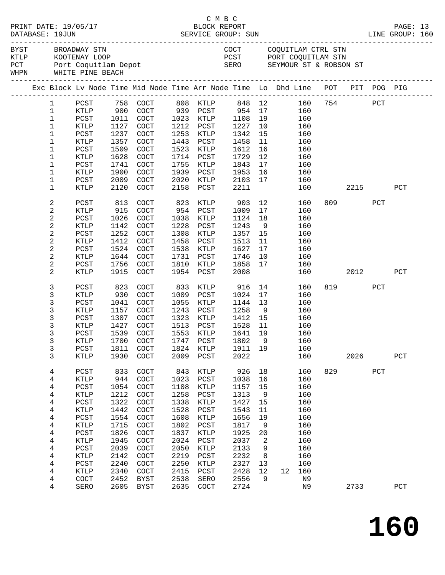|  | DATABASE: 19JUN        | PRINT DATE: 19/05/17 |              |                                                                                           |              | C M B C<br>BLOCK REPORT |              |          |    |            |                                                                                   |           |     | PAGE: 13 |  |
|--|------------------------|----------------------|--------------|-------------------------------------------------------------------------------------------|--------------|-------------------------|--------------|----------|----|------------|-----------------------------------------------------------------------------------|-----------|-----|----------|--|
|  |                        | BYST BROADWAY STN    |              | --- RUUTENAY LOOP<br>PCT Port Coquitlam Depot<br>WHPN WHITE PINE BEACH<br>--------------- |              |                         |              |          |    |            | COCT COQUITLAM CTRL STN<br>PCST PORT COQUITLAM STN<br>SERO SEYMOUR ST & ROBSON ST |           |     |          |  |
|  |                        |                      |              | Exc Block Lv Node Time Mid Node Time Arr Node Time Lo Dhd Line POT PIT POG PIG            |              |                         |              |          |    |            |                                                                                   |           |     |          |  |
|  | $1 \quad \blacksquare$ |                      |              | PCST 758 COCT 808 KTLP 848 12 160 754 PCT RTLP 900 COCT 939 PCST 954 17 160               |              |                         |              |          |    |            |                                                                                   |           |     |          |  |
|  | $\mathbf{1}$           |                      |              |                                                                                           |              |                         |              |          |    |            |                                                                                   |           |     |          |  |
|  | $\mathbf{1}$           | PCST                 | 1011         |                                                                                           |              | $COCT$ 1023 KTLP 1108   |              | 19       |    | 160        |                                                                                   |           |     |          |  |
|  | $\mathbf{1}$           | KTLP                 | 1127         | COCT                                                                                      |              | 1212 PCST               | 1227         | 10       |    | 160        |                                                                                   |           |     |          |  |
|  | $\mathbf 1$            | PCST                 | 1237         | COCT                                                                                      |              | 1253 KTLP               | 1342         | 15       |    | 160        |                                                                                   |           |     |          |  |
|  | $\mathbf{1}$           | KTLP                 | 1357         | COCT                                                                                      |              | 1443 PCST               | 1458         | 11       |    | 160        |                                                                                   |           |     |          |  |
|  | 1                      | PCST                 | 1509         | COCT                                                                                      | 1523         | KTLP                    | 1612         | 16       |    | 160        |                                                                                   |           |     |          |  |
|  | $\mathbf 1$            | KTLP                 | 1628         | COCT                                                                                      | 1714         | PCST                    | 1729         | 12       |    | 160        |                                                                                   |           |     |          |  |
|  | 1                      | PCST                 | 1741         | COCT                                                                                      | 1755         | KTLP                    | 1843         | 17       |    | 160        |                                                                                   |           |     |          |  |
|  | $\mathbf 1$            | KTLP                 | 1900         | COCT                                                                                      | 1939         | PCST                    | 1953         | 16       |    | 160        |                                                                                   |           |     |          |  |
|  | 1                      | PCST                 | 2009         | COCT                                                                                      | 2020         | KTLP                    | 2103         | 17       |    | 160        |                                                                                   | 2215      |     |          |  |
|  | 1                      | KTLP                 | 2120         | $\operatorname{COT}$                                                                      | 2158         | PCST                    | 2211         |          |    | 160        |                                                                                   |           |     | PCT      |  |
|  | 2                      | PCST                 | 813          | COCT                                                                                      | 823          | KTLP                    | 903          |          | 12 | 160        |                                                                                   | 809 — 100 | PCT |          |  |
|  | 2                      | KTLP                 | 915          | COCT                                                                                      |              | 954 PCST                | 1009         | 17       |    | 160        |                                                                                   |           |     |          |  |
|  | $\overline{c}$         | PCST                 | 1026         | COCT                                                                                      | 1038         | KTLP                    | 1124         | 18       |    | 160        |                                                                                   |           |     |          |  |
|  | 2                      | KTLP                 | 1142         | COCT                                                                                      | 1228         | PCST                    | 1243         | 9        |    | 160        |                                                                                   |           |     |          |  |
|  | $\overline{c}$         | PCST                 | 1252         | COCT                                                                                      | 1308         | KTLP                    | 1357         | 15       |    | 160        |                                                                                   |           |     |          |  |
|  | 2                      | KTLP                 | 1412         | COCT                                                                                      | 1458         | PCST                    | 1513         | 11       |    | 160        |                                                                                   |           |     |          |  |
|  | 2                      | PCST                 | 1524         | COCT                                                                                      | 1538         | KTLP                    | 1627         | 17       |    | 160        |                                                                                   |           |     |          |  |
|  | 2                      | KTLP                 | 1644         | COCT                                                                                      | 1731         | PCST                    | 1746         | 10       |    | 160        |                                                                                   |           |     |          |  |
|  | $\overline{c}$         | PCST                 | 1756         | COCT                                                                                      | 1810         | KTLP                    | 1858         | 17       |    | 160        |                                                                                   |           |     |          |  |
|  | 2                      | KTLP                 | 1915         | COCT                                                                                      | 1954         | PCST                    | 2008         |          |    | 160        |                                                                                   | 2012 2013 |     | PCT      |  |
|  | 3                      | PCST                 | 823          | COCT                                                                                      | 833          | KTLP                    | 916          |          | 14 | 160        |                                                                                   | 819 — 10  | PCT |          |  |
|  | 3                      | KTLP                 | 930          | COCT                                                                                      |              | 1009 PCST               | 1024         | 17       |    | 160        |                                                                                   |           |     |          |  |
|  | 3                      | PCST                 | 1041         | COCT                                                                                      | 1055         | KTLP                    | 1144         | 13       |    | 160        |                                                                                   |           |     |          |  |
|  | 3                      | KTLP                 | 1157         | COCT                                                                                      | 1243         | PCST                    | 1258         | 9        |    | 160        |                                                                                   |           |     |          |  |
|  | 3                      | PCST                 | 1307         | COCT                                                                                      | 1323         | KTLP                    | 1412         | 15       |    | 160        |                                                                                   |           |     |          |  |
|  | 3<br>3                 | KTLP                 | 1427<br>1539 | COCT<br>COCT                                                                              | 1513         | PCST<br>1553 KTLP       | 1528<br>1641 | 11<br>19 |    | 160<br>160 |                                                                                   |           |     |          |  |
|  |                        | PCST<br>KTLP         |              | 1700 COCT                                                                                 |              | 1747 PCST               | 1802 9 160   |          |    |            |                                                                                   |           |     |          |  |
|  | 3                      | PCST                 | 1811         | COCT                                                                                      | 1824         | KTLP                    | 1911         | 19       |    | 160        |                                                                                   |           |     |          |  |
|  | 3                      | KTLP                 | 1930         | COCT                                                                                      | 2009         | ${\tt PCST}$            | 2022         |          |    | 160        |                                                                                   | 2026      |     | PCT      |  |
|  |                        |                      |              |                                                                                           |              |                         |              |          |    |            |                                                                                   |           |     |          |  |
|  | 4                      | PCST                 | 833          | COCT                                                                                      | 843          | KTLP                    | 926          | 18       |    | 160        |                                                                                   | 829       | PCT |          |  |
|  | 4                      | KTLP                 | 944          | COCT                                                                                      | 1023         | PCST                    | 1038         | 16       |    | 160        |                                                                                   |           |     |          |  |
|  | 4                      | PCST                 | 1054         | COCT                                                                                      | 1108         | KTLP                    | 1157         | 15       |    | 160        |                                                                                   |           |     |          |  |
|  | 4                      | KTLP                 | 1212         | COCT                                                                                      | 1258         | PCST                    | 1313         | 9        |    | 160        |                                                                                   |           |     |          |  |
|  | 4                      | PCST                 | 1322         | COCT                                                                                      | 1338         | KTLP                    | 1427         | 15       |    | 160        |                                                                                   |           |     |          |  |
|  | 4                      | KTLP                 | 1442         | COCT                                                                                      | 1528         | PCST                    | 1543         | 11       |    | 160        |                                                                                   |           |     |          |  |
|  | 4                      | PCST                 | 1554         | COCT                                                                                      | 1608         | $\texttt{KTLP}$         | 1656         | 19       |    | 160        |                                                                                   |           |     |          |  |
|  | 4                      | KTLP                 | 1715         | COCT                                                                                      | 1802         | PCST                    | 1817         | 9        |    | 160        |                                                                                   |           |     |          |  |
|  | 4                      | PCST                 | 1826         | COCT                                                                                      | 1837         | KTLP                    | 1925         | 20       |    | 160        |                                                                                   |           |     |          |  |
|  | 4                      | KTLP                 | 1945         | COCT                                                                                      | 2024         | PCST                    | 2037         | 2        |    | 160        |                                                                                   |           |     |          |  |
|  | 4                      | PCST                 | 2039         | COCT                                                                                      | 2050         | $\texttt{KTLP}$         | 2133         | 9        |    | 160        |                                                                                   |           |     |          |  |
|  | 4                      | KTLP                 | 2142         | COCT                                                                                      | 2219         | PCST                    | 2232         | 8        |    | 160        |                                                                                   |           |     |          |  |
|  | 4                      | PCST                 | 2240         | COCT                                                                                      | 2250         | KTLP                    | 2327         | 13       |    | 160        |                                                                                   |           |     |          |  |
|  | 4                      | KTLP                 | 2340<br>2452 | COCT                                                                                      | 2415         | PCST                    | 2428         | 12<br>9  | 12 | 160<br>N9  |                                                                                   |           |     |          |  |
|  | 4<br>4                 | COCT<br>SERO         | 2605         | BYST<br>BYST                                                                              | 2538<br>2635 | SERO<br>COCT            | 2556<br>2724 |          |    | N9         |                                                                                   | 2733      |     | PCT      |  |
|  |                        |                      |              |                                                                                           |              |                         |              |          |    |            |                                                                                   |           |     |          |  |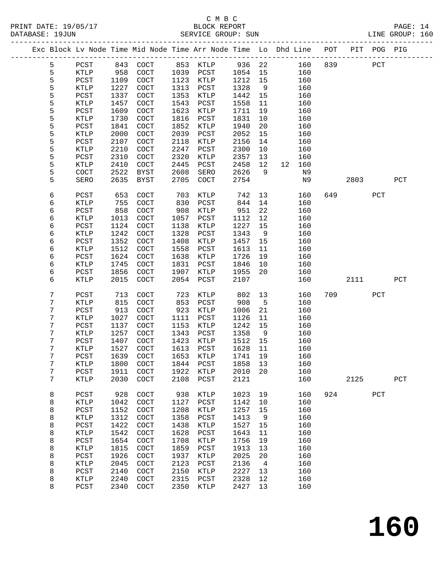# C M B C<br>BLOCK BEDORT

| DATABASE: 19JUN | PRINT DATE: 19/05/17 |      |      |         | BLOCK REPORT<br>SERVICE GROUP: SUN |        |      |                                                                |     |     |     | PAGE: 14<br>LINE GROUP: 160 |  |
|-----------------|----------------------|------|------|---------|------------------------------------|--------|------|----------------------------------------------------------------|-----|-----|-----|-----------------------------|--|
|                 |                      |      |      |         |                                    |        |      | Exc Block Ly Node Time Mid Node Time Arr Node Time Lo Dhd Line | POT | PIT |     | POG PIG                     |  |
| 5               | PCST                 | 843  | COCT | 853     | KTLP                               | 936 22 |      | 160                                                            | 839 |     | PCT |                             |  |
| 5.              | KTLP                 | 958  | COCT | 1039    | PCST                               | 1054   | - 15 | 160                                                            |     |     |     |                             |  |
| 5.              | PCST                 | 1109 | COCT | 1123    | KTLP                               | 1212   | -15  | 160                                                            |     |     |     |                             |  |
| 5               | KTLP                 | 1227 | COCT | 1313    | PCST                               | 1328   | - 9  | 160                                                            |     |     |     |                             |  |
| 5.              | PCST                 | 1337 | COCT | 1353    | KTLP                               | 1442   | 15   | 160                                                            |     |     |     |                             |  |
| 5               | KTLP                 | 1457 | COCT | 1543    | PCST                               | 1558   | -11  | 160                                                            |     |     |     |                             |  |
|                 |                      |      |      | - - - - |                                    |        |      | - - -                                                          |     |     |     |                             |  |

| 5                | KTLP            | 1227 | COCT                 | 1313      | PCST          | 1328    | 9              |    | 160 |     |      |     |              |  |
|------------------|-----------------|------|----------------------|-----------|---------------|---------|----------------|----|-----|-----|------|-----|--------------|--|
| 5                | PCST            | 1337 | COCT                 | 1353      | KTLP          | 1442    | 15             |    | 160 |     |      |     |              |  |
| 5                | KTLP            | 1457 | COCT                 | 1543      | PCST          | 1558    | 11             |    | 160 |     |      |     |              |  |
| 5                | $_{\rm PCST}$   | 1609 | COCT                 | 1623      | KTLP          | 1711    | 19             |    | 160 |     |      |     |              |  |
| 5                | $\texttt{KTLP}$ | 1730 | COCT                 | 1816      | PCST          | 1831    | 10             |    | 160 |     |      |     |              |  |
| 5                | PCST            | 1841 | COCT                 | 1852      | <b>KTLP</b>   | 1940    | 20             |    | 160 |     |      |     |              |  |
| 5                | KTLP            | 2000 | COCT                 | 2039      | PCST          | 2052    | 15             |    | 160 |     |      |     |              |  |
| 5                | $_{\rm PCST}$   | 2107 | COCT                 | 2118      | KTLP          | 2156    | 14             |    | 160 |     |      |     |              |  |
| 5                | $\texttt{KTLP}$ | 2210 | COCT                 | 2247      | PCST          | 2300    | 10             |    | 160 |     |      |     |              |  |
| 5                | PCST            | 2310 | COCT                 | 2320      | KTLP          | 2357    | 13             |    | 160 |     |      |     |              |  |
| 5                | KTLP            | 2410 | COCT                 | 2445      | PCST          | 2458    | 12             | 12 | 160 |     |      |     |              |  |
|                  |                 |      |                      |           |               |         |                |    |     |     |      |     |              |  |
| 5                | COCT            | 2522 | <b>BYST</b>          | 2608      | SERO          | 2626    | 9              |    | N9  |     |      |     |              |  |
| 5                | SERO            | 2635 | <b>BYST</b>          | 2705      | COCT          | 2754    |                |    | N9  |     | 2803 |     | $_{\rm PCT}$ |  |
| 6                | PCST            | 653  | COCT                 | 703       | KTLP          | 742     | 13             |    | 160 | 649 |      | PCT |              |  |
| 6                | KTLP            | 755  | COCT                 | 830       | $_{\rm PCST}$ | 844     | 14             |    | 160 |     |      |     |              |  |
| 6                | $_{\rm PCST}$   | 858  | COCT                 | 908       | KTLP          | 951     | 22             |    | 160 |     |      |     |              |  |
| 6                | KTLP            | 1013 | COCT                 | 1057      | PCST          | 1112    | 12             |    | 160 |     |      |     |              |  |
| 6                | PCST            | 1124 | COCT                 | 1138      | KTLP          | 1227    | 15             |    | 160 |     |      |     |              |  |
| $\epsilon$       | KTLP            | 1242 | COCT                 | 1328      | PCST          | 1343    | 9              |    | 160 |     |      |     |              |  |
| $\epsilon$       | PCST            | 1352 | COCT                 | 1408      | KTLP          | 1457    | 15             |    | 160 |     |      |     |              |  |
| 6                | KTLP            | 1512 | COCT                 | 1558      | PCST          | 1613    | 11             |    | 160 |     |      |     |              |  |
| 6                | PCST            | 1624 | COCT                 | 1638      | KTLP          | 1726    | 19             |    | 160 |     |      |     |              |  |
| $\epsilon$       |                 | 1745 | COCT                 | 1831      |               |         | 10             |    | 160 |     |      |     |              |  |
|                  | KTLP            |      |                      |           | PCST          | 1846    |                |    |     |     |      |     |              |  |
| $\epsilon$       | $_{\rm PCST}$   | 1856 | COCT                 | 1907      | KTLP          | 1955    | 20             |    | 160 |     |      |     |              |  |
| 6                | KTLP            | 2015 | COCT                 | 2054      | $_{\rm PCST}$ | 2107    |                |    | 160 |     | 2111 |     | $_{\rm PCT}$ |  |
| $\boldsymbol{7}$ | PCST            | 713  | COCT                 | 723       | KTLP          | 802     | 13             |    | 160 | 709 |      | PCT |              |  |
| $\boldsymbol{7}$ | KTLP            | 815  | COCT                 | 853       | PCST          | 908     | 5              |    | 160 |     |      |     |              |  |
| 7                | $_{\rm PCST}$   | 913  | COCT                 | 923       | KTLP          | 1006    | 21             |    | 160 |     |      |     |              |  |
| $\boldsymbol{7}$ | KTLP            | 1027 | COCT                 | 1111      | ${\tt PCST}$  | 1126    | 11             |    | 160 |     |      |     |              |  |
| $\boldsymbol{7}$ | $_{\rm PCST}$   | 1137 | COCT                 | 1153      | KTLP          | 1242    | 15             |    | 160 |     |      |     |              |  |
| $\boldsymbol{7}$ | KTLP            | 1257 | COCT                 | 1343      | PCST          | 1358    | 9              |    | 160 |     |      |     |              |  |
| 7                | $_{\rm PCST}$   | 1407 | COCT                 | 1423      | KTLP          | 1512    | 15             |    | 160 |     |      |     |              |  |
| $\boldsymbol{7}$ | KTLP            | 1527 | COCT                 | 1613      | PCST          | 1628    | 11             |    | 160 |     |      |     |              |  |
| $\boldsymbol{7}$ | $_{\rm PCST}$   | 1639 | COCT                 | 1653      | KTLP          | 1741    | 19             |    | 160 |     |      |     |              |  |
| $\boldsymbol{7}$ | KTLP            | 1800 | COCT                 | 1844      | PCST          | 1858    | 13             |    | 160 |     |      |     |              |  |
| 7                | $_{\rm PCST}$   | 1911 | COCT                 | 1922      | KTLP          | 2010    | 20             |    | 160 |     |      |     |              |  |
| $7\phantom{.}$   | KTLP            | 2030 | COCT                 | 2108      | PCST          | 2121    |                |    | 160 |     | 2125 |     | $_{\rm PCT}$ |  |
|                  |                 |      |                      |           |               |         |                |    |     |     |      |     |              |  |
| 8                | PCST            | 928  | COCT                 | 938       | KTLP          | 1023    | 19             |    | 160 | 924 |      | PCT |              |  |
| 8                | <b>KTLP</b>     | 1042 | COCT                 | 1127      | PCST          | 1142    | 10             |    | 160 |     |      |     |              |  |
| 8                | ${\tt PCST}$    | 1152 | $\operatorname{COT}$ | 1208 KTLP |               | 1257 15 |                |    | 160 |     |      |     |              |  |
| 8                | KTLP            | 1312 | COCT                 | 1358      | PCST          | 1413    | 9              |    | 160 |     |      |     |              |  |
| 8                | PCST            | 1422 | COCT                 | 1438      | KTLP          | 1527    | 15             |    | 160 |     |      |     |              |  |
| 8                | KTLP            | 1542 | COCT                 | 1628      | PCST          | 1643    | 11             |    | 160 |     |      |     |              |  |
| 8                | PCST            | 1654 | COCT                 | 1708      | KTLP          | 1756    | 19             |    | 160 |     |      |     |              |  |
| 8                | KTLP            | 1815 | COCT                 | 1859      | PCST          | 1913    | 13             |    | 160 |     |      |     |              |  |
| 8                | PCST            | 1926 | COCT                 | 1937      | KTLP          | 2025    | 20             |    | 160 |     |      |     |              |  |
| 8                | KTLP            | 2045 | COCT                 | 2123      | PCST          | 2136    | $\overline{4}$ |    | 160 |     |      |     |              |  |
| 8                | PCST            | 2140 | COCT                 | 2150      | KTLP          | 2227    | 13             |    | 160 |     |      |     |              |  |
| 8                | KTLP            | 2240 | COCT                 | 2315      | PCST          | 2328    | 12             |    | 160 |     |      |     |              |  |
| 8                |                 |      |                      |           |               |         | 13             |    |     |     |      |     |              |  |
|                  | PCST            | 2340 | COCT                 | 2350      | KTLP          | 2427    |                |    | 160 |     |      |     |              |  |

**160**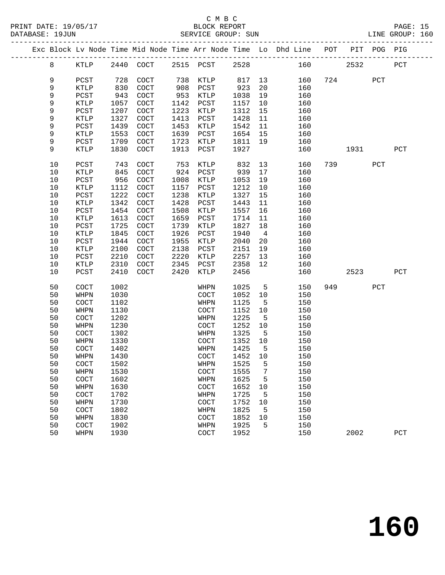PRINT DATE: 19/05/17 BLOCK REPORT BLOCK REPORT DATABASE: 19JUN

## C M B C<br>BLOCK REPORT

| DATABASE: 19JUN |        |                      |            |                          |                   | SERVICE GROUP: SUN   |                       |          |                                                                    |     |         |     | LINE GROUP: 160 |  |
|-----------------|--------|----------------------|------------|--------------------------|-------------------|----------------------|-----------------------|----------|--------------------------------------------------------------------|-----|---------|-----|-----------------|--|
|                 |        |                      |            |                          |                   |                      |                       |          | Exc Block Ly Node Time Mid Node Time Arr Node Time Lo Dhd Line POT |     | $PIT -$ |     | POG PIG         |  |
|                 | 8      | KTI P                |            | 2440 COCT                |                   | 2515 PCST            | 2528                  |          | 160                                                                |     | 2532    |     | PCT             |  |
|                 | 9<br>9 | PCST<br>KTLP<br>PCST | 830<br>943 | 728 COCT<br>COCT<br>COCT | 738<br>908<br>953 | KTLP<br>PCST<br>KTLP | 817 13<br>923<br>1038 | 20<br>19 | 160<br>160<br>160                                                  | 724 |         | PCT |                 |  |

| 9    | PCST                 | 943  | COCT                 | 953  | KTLP                 | 1038 | 19              | 160 |     |      |     |              |
|------|----------------------|------|----------------------|------|----------------------|------|-----------------|-----|-----|------|-----|--------------|
| 9    | KTLP                 | 1057 | COCT                 | 1142 | PCST                 | 1157 | 10              | 160 |     |      |     |              |
| 9    | ${\tt PCST}$         | 1207 | COCT                 | 1223 | KTLP                 | 1312 | 15              | 160 |     |      |     |              |
| 9    | KTLP                 | 1327 | COCT                 | 1413 | PCST                 | 1428 | 11              | 160 |     |      |     |              |
| 9    | ${\tt PCST}$         | 1439 | $\operatorname{COT}$ | 1453 | KTLP                 | 1542 | 11              | 160 |     |      |     |              |
| 9    | <b>KTLP</b>          | 1553 | $\operatorname{COT}$ | 1639 | PCST                 | 1654 | 15              | 160 |     |      |     |              |
| 9    | PCST                 | 1709 | COCT                 | 1723 | KTLP                 | 1811 | 19              | 160 |     |      |     |              |
| 9    | KTLP                 | 1830 | $\operatorname{COT}$ | 1913 | PCST                 | 1927 |                 | 160 |     | 1931 |     | ${\tt PCT}$  |
|      |                      |      |                      |      |                      |      |                 |     |     |      |     |              |
| $10$ | $_{\rm PCST}$        | 743  | COCT                 | 753  | KTLP                 | 832  | 13              | 160 | 739 |      | PCT |              |
| $10$ | $\texttt{KTLP}$      | 845  | COCT                 | 924  | PCST                 | 939  | 17              | 160 |     |      |     |              |
| $10$ | $_{\rm PCST}$        | 956  | $\operatorname{COT}$ | 1008 | KTLP                 | 1053 | 19              | 160 |     |      |     |              |
| $10$ | KTLP                 | 1112 | COCT                 | 1157 | PCST                 | 1212 | $10$            | 160 |     |      |     |              |
| $10$ | $_{\rm PCST}$        | 1222 | COCT                 | 1238 | <b>KTLP</b>          | 1327 | 15              | 160 |     |      |     |              |
| 10   | KTLP                 | 1342 | COCT                 | 1428 | PCST                 | 1443 | 11              | 160 |     |      |     |              |
| $10$ | $_{\rm PCST}$        | 1454 | $\operatorname{COT}$ | 1508 | KTLP                 | 1557 | 16              | 160 |     |      |     |              |
| 10   | <b>KTLP</b>          | 1613 | COCT                 | 1659 | PCST                 | 1714 | 11              | 160 |     |      |     |              |
| 10   | $_{\rm PCST}$        | 1725 | COCT                 | 1739 | KTLP                 | 1827 | 18              | 160 |     |      |     |              |
| $10$ | KTLP                 | 1845 | COCT                 | 1926 | PCST                 | 1940 | $\overline{4}$  | 160 |     |      |     |              |
| $10$ | PCST                 | 1944 | COCT                 | 1955 | KTLP                 | 2040 | 20              | 160 |     |      |     |              |
| 10   | KTLP                 | 2100 | COCT                 | 2138 | PCST                 | 2151 | 19              | 160 |     |      |     |              |
| $10$ | PCST                 | 2210 | COCT                 | 2220 | KTLP                 | 2257 | 13              | 160 |     |      |     |              |
| 10   | <b>KTLP</b>          | 2310 | COCT                 | 2345 | ${\tt PCST}$         | 2358 | 12              | 160 |     |      |     |              |
| 10   | PCST                 | 2410 | COCT                 | 2420 | KTLP                 | 2456 |                 | 160 |     | 2523 |     | $_{\rm PCT}$ |
|      |                      |      |                      |      |                      |      |                 |     |     |      |     |              |
| 50   | COCT                 | 1002 |                      |      | WHPN                 | 1025 | $5^{\circ}$     | 150 | 949 |      | PCT |              |
| 50   | WHPN                 | 1030 |                      |      | COCT                 | 1052 | 10              | 150 |     |      |     |              |
| 50   | COCT                 | 1102 |                      |      | WHPN                 | 1125 | 5               | 150 |     |      |     |              |
| 50   | WHPN                 | 1130 |                      |      | COCT                 | 1152 | 10              | 150 |     |      |     |              |
| 50   | COCT                 | 1202 |                      |      | WHPN                 | 1225 | $5\phantom{.0}$ | 150 |     |      |     |              |
| 50   | WHPN                 | 1230 |                      |      | COCT                 | 1252 | 10              | 150 |     |      |     |              |
| 50   | COCT                 | 1302 |                      |      | WHPN                 | 1325 | $5\overline{5}$ | 150 |     |      |     |              |
| 50   | WHPN                 | 1330 |                      |      | COCT                 | 1352 | 10              | 150 |     |      |     |              |
| 50   | COCT                 | 1402 |                      |      | WHPN                 | 1425 | 5               | 150 |     |      |     |              |
| 50   | WHPN                 | 1430 |                      |      | $\operatorname{COT}$ | 1452 | 10              | 150 |     |      |     |              |
| 50   | COCT                 | 1502 |                      |      | WHPN                 | 1525 | 5               | 150 |     |      |     |              |
| 50   | WHPN                 | 1530 |                      |      | COCT                 | 1555 | $7\phantom{.0}$ | 150 |     |      |     |              |
| 50   | COCT                 | 1602 |                      |      | WHPN                 | 1625 | 5               | 150 |     |      |     |              |
| 50   | WHPN                 | 1630 |                      |      | COCT                 | 1652 | 10              | 150 |     |      |     |              |
| 50   | COCT                 | 1702 |                      |      | WHPN                 | 1725 | 5               | 150 |     |      |     |              |
| 50   | WHPN                 | 1730 |                      |      | $\operatorname{COT}$ | 1752 | 10              | 150 |     |      |     |              |
| 50   | COCT                 | 1802 |                      |      | WHPN                 | 1825 | $5\overline{5}$ | 150 |     |      |     |              |
| 50   | WHPN                 | 1830 |                      |      | $\operatorname{COT}$ | 1852 | 10              | 150 |     |      |     |              |
| 50   | $\operatorname{COT}$ | 1902 |                      |      | WHPN                 | 1925 | 5               | 150 |     |      |     |              |
| 50   | WHPN                 | 1930 |                      |      | COCT                 | 1952 |                 | 150 |     | 2002 |     | PCT          |
|      |                      |      |                      |      |                      |      |                 |     |     |      |     |              |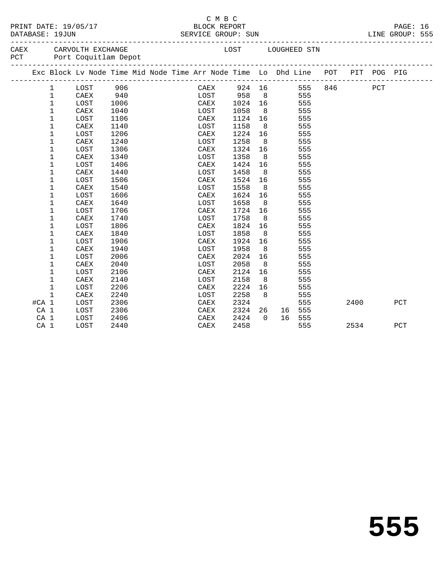|            | PRINT DATE: | 19/05/1       |
|------------|-------------|---------------|
| . <i>.</i> |             | $1.07$ $+7.7$ |

#### C M B C PAGE: 16 BLOCK REPORT PAGE: 16<br>SERVICE GROUP: SUN BLOCK REPORT PAGE: 16 DATABASE: 19JUN SERVICE GROUP: SUN LINE GROUP: 555

-------------------------------------------------------------------------------------------------

| CAEX<br>PCT |  | CARVOLTH EXCHANGE<br>Port Coquitlam Depot |     |  |       | LOST   | LOUGHEED STN                                                                   |         |  |      |  |
|-------------|--|-------------------------------------------|-----|--|-------|--------|--------------------------------------------------------------------------------|---------|--|------|--|
|             |  |                                           |     |  |       |        | Exc Block Ly Node Time Mid Node Time Arr Node Time Lo Dhd Line POT PIT POG PIG |         |  |      |  |
|             |  | T.OST                                     | 906 |  | ∩∆ FY | 924 16 |                                                                                | 555 846 |  | חימס |  |

|       | 1            | LOST | 906  | CAEX | 924  | 16  |    | 555 | 846  | PCT |     |
|-------|--------------|------|------|------|------|-----|----|-----|------|-----|-----|
|       | $\mathbf 1$  | CAEX | 940  | LOST | 958  | 8   |    | 555 |      |     |     |
|       | 1            | LOST | 1006 | CAEX | 1024 | 16  |    | 555 |      |     |     |
|       | 1            | CAEX | 1040 | LOST | 1058 | 8   |    | 555 |      |     |     |
|       | 1            | LOST | 1106 | CAEX | 1124 | 16  |    | 555 |      |     |     |
|       | 1            | CAEX | 1140 | LOST | 1158 | 8   |    | 555 |      |     |     |
|       | 1            | LOST | 1206 | CAEX | 1224 | 16  |    | 555 |      |     |     |
|       | 1            | CAEX | 1240 | LOST | 1258 | 8   |    | 555 |      |     |     |
|       | 1            | LOST | 1306 | CAEX | 1324 | 16  |    | 555 |      |     |     |
|       | 1            | CAEX | 1340 | LOST | 1358 | 8   |    | 555 |      |     |     |
|       | 1            | LOST | 1406 | CAEX | 1424 | 16  |    | 555 |      |     |     |
|       | 1            | CAEX | 1440 | LOST | 1458 | 8   |    | 555 |      |     |     |
|       | 1            | LOST | 1506 | CAEX | 1524 | 16  |    | 555 |      |     |     |
|       | 1            | CAEX | 1540 | LOST | 1558 | 8   |    | 555 |      |     |     |
|       | 1            | LOST | 1606 | CAEX | 1624 | 16  |    | 555 |      |     |     |
|       | 1            | CAEX | 1640 | LOST | 1658 | - 8 |    | 555 |      |     |     |
|       | 1            | LOST | 1706 | CAEX | 1724 | 16  |    | 555 |      |     |     |
|       | 1            | CAEX | 1740 | LOST | 1758 | 8   |    | 555 |      |     |     |
|       | 1            | LOST | 1806 | CAEX | 1824 | 16  |    | 555 |      |     |     |
|       | 1            | CAEX | 1840 | LOST | 1858 | 8   |    | 555 |      |     |     |
|       | 1            | LOST | 1906 | CAEX | 1924 | 16  |    | 555 |      |     |     |
|       | 1            | CAEX | 1940 | LOST | 1958 | 8   |    | 555 |      |     |     |
|       | 1            | LOST | 2006 | CAEX | 2024 | 16  |    | 555 |      |     |     |
|       | 1            | CAEX | 2040 | LOST | 2058 | 8   |    | 555 |      |     |     |
|       | 1            | LOST | 2106 | CAEX | 2124 | 16  |    | 555 |      |     |     |
|       | 1            | CAEX | 2140 | LOST | 2158 | 8   |    | 555 |      |     |     |
|       | 1            | LOST | 2206 | CAEX | 2224 | 16  |    | 555 |      |     |     |
|       | $\mathbf{1}$ | CAEX | 2240 | LOST | 2258 | 8   |    | 555 |      |     |     |
| #CA 1 |              | LOST | 2306 | CAEX | 2324 |     |    | 555 | 2400 |     | PCT |
| CA 1  |              | LOST | 2306 | CAEX | 2324 | 26  | 16 | 555 |      |     |     |

CA 1 LOST 2406 CAEX 2424 0 16 555

CA 1 LOST 2440 CAEX 2458 555 2534 PCT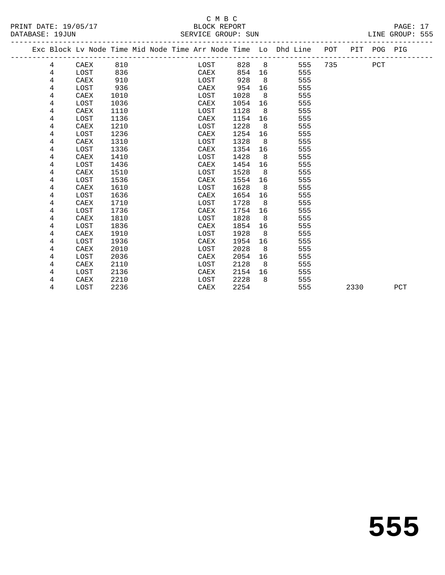|  |   | Exc Block Lv Node Time Mid Node Time Arr Node Time Lo Dhd Line |      |  |      |      |                |     | POT |      | PIT POG PIG |     |
|--|---|----------------------------------------------------------------|------|--|------|------|----------------|-----|-----|------|-------------|-----|
|  | 4 | CAEX                                                           | 810  |  | LOST | 828  | 8 <sup>8</sup> | 555 | 735 |      | PCT         |     |
|  | 4 | LOST                                                           | 836  |  | CAEX | 854  | 16             | 555 |     |      |             |     |
|  | 4 | CAEX                                                           | 910  |  | LOST | 928  | 8              | 555 |     |      |             |     |
|  | 4 | LOST                                                           | 936  |  | CAEX | 954  | 16             | 555 |     |      |             |     |
|  | 4 | CAEX                                                           | 1010 |  | LOST | 1028 | 8              | 555 |     |      |             |     |
|  | 4 | LOST                                                           | 1036 |  | CAEX | 1054 | 16             | 555 |     |      |             |     |
|  | 4 | CAEX                                                           | 1110 |  | LOST | 1128 | 8              | 555 |     |      |             |     |
|  | 4 | LOST                                                           | 1136 |  | CAEX | 1154 | 16             | 555 |     |      |             |     |
|  | 4 | CAEX                                                           | 1210 |  | LOST | 1228 | 8              | 555 |     |      |             |     |
|  | 4 | LOST                                                           | 1236 |  | CAEX | 1254 | 16             | 555 |     |      |             |     |
|  | 4 | CAEX                                                           | 1310 |  | LOST | 1328 | 8              | 555 |     |      |             |     |
|  | 4 | LOST                                                           | 1336 |  | CAEX | 1354 | 16             | 555 |     |      |             |     |
|  | 4 | CAEX                                                           | 1410 |  | LOST | 1428 | 8              | 555 |     |      |             |     |
|  | 4 | LOST                                                           | 1436 |  | CAEX | 1454 | 16             | 555 |     |      |             |     |
|  | 4 | CAEX                                                           | 1510 |  | LOST | 1528 | 8              | 555 |     |      |             |     |
|  | 4 | LOST                                                           | 1536 |  | CAEX | 1554 | 16             | 555 |     |      |             |     |
|  | 4 | CAEX                                                           | 1610 |  | LOST | 1628 | 8              | 555 |     |      |             |     |
|  | 4 | LOST                                                           | 1636 |  | CAEX | 1654 | 16             | 555 |     |      |             |     |
|  | 4 | CAEX                                                           | 1710 |  | LOST | 1728 | - 8            | 555 |     |      |             |     |
|  | 4 | LOST                                                           | 1736 |  | CAEX | 1754 | 16             | 555 |     |      |             |     |
|  | 4 | CAEX                                                           | 1810 |  | LOST | 1828 | 8              | 555 |     |      |             |     |
|  | 4 | LOST                                                           | 1836 |  | CAEX | 1854 | 16             | 555 |     |      |             |     |
|  | 4 | CAEX                                                           | 1910 |  | LOST | 1928 | 8              | 555 |     |      |             |     |
|  | 4 | LOST                                                           | 1936 |  | CAEX | 1954 | 16             | 555 |     |      |             |     |
|  | 4 | CAEX                                                           | 2010 |  | LOST | 2028 | 8              | 555 |     |      |             |     |
|  | 4 | LOST                                                           | 2036 |  | CAEX | 2054 | 16             | 555 |     |      |             |     |
|  | 4 | CAEX                                                           | 2110 |  | LOST | 2128 | 8              | 555 |     |      |             |     |
|  | 4 | LOST                                                           | 2136 |  | CAEX | 2154 | 16             | 555 |     |      |             |     |
|  | 4 | CAEX                                                           | 2210 |  | LOST | 2228 | 8              | 555 |     |      |             |     |
|  | 4 | LOST                                                           | 2236 |  | CAEX | 2254 |                | 555 |     | 2330 |             | PCT |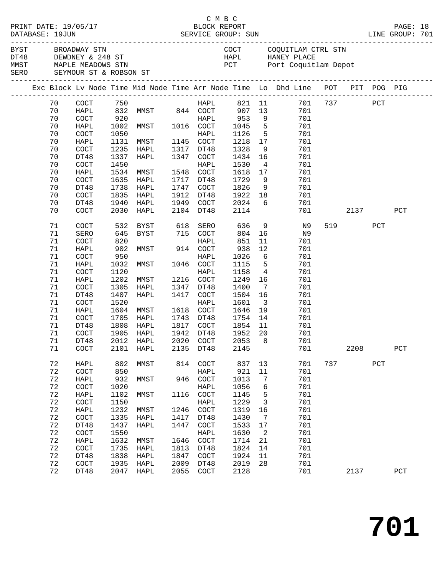| PRINT DATE: 19/05/17<br>DATABASE: 19JUN |  |                                                                                                     |                      |                      | C M B C<br>BLOCK REPORT             |                      |                                      |                        |                                         |                                                                                |     |         | PAGE: 18<br>LINE GROUP: 701 |             |  |
|-----------------------------------------|--|-----------------------------------------------------------------------------------------------------|----------------------|----------------------|-------------------------------------|----------------------|--------------------------------------|------------------------|-----------------------------------------|--------------------------------------------------------------------------------|-----|---------|-----------------------------|-------------|--|
|                                         |  | BYST BROADWAY STN<br>DT48 DEWDNEY & 248 ST<br>MMST MAPLE MEADOWS STN<br>SERO SEYMOUR ST & ROBSON ST |                      |                      |                                     |                      |                                      |                        |                                         | COCT COQUITLAM CTRL STN<br>HAPL HANEY PLACE<br>PCT Port Coquitlam Depot        |     |         |                             |             |  |
|                                         |  |                                                                                                     |                      |                      |                                     |                      |                                      |                        |                                         | Exc Block Lv Node Time Mid Node Time Arr Node Time Lo Dhd Line POT PIT POG PIG |     |         |                             |             |  |
|                                         |  | 70<br>70<br>70                                                                                      | COCT<br>HAPL<br>COCT | 750                  |                                     |                      | HAPL                                 |                        | 9                                       | 821 11 701<br>701<br>701                                                       |     | 737 PCT |                             |             |  |
|                                         |  | 70<br>70                                                                                            | HAPL<br>COCT         | 1050                 | 1002 MMST 1016 COCT                 |                      | HAPL                                 | 1045<br>1126           | 5 <sub>5</sub>                          | 5 <sup>5</sup><br>701<br>701                                                   |     |         |                             |             |  |
|                                         |  | 70<br>70<br>70                                                                                      | HAPL<br>COCT<br>DT48 | 1131<br>1235<br>1337 | MMST 1145 COCT<br>HAPL<br>HAPL      |                      | 1317 DT48<br>1347 COCT               | 1218<br>1328<br>1434   | 17<br>9<br>16                           | 701<br>701<br>701                                                              |     |         |                             |             |  |
|                                         |  | 70<br>70                                                                                            | COCT<br>HAPL         | 1450<br>1534         | MMST                                |                      | HAPL<br>1548 COCT                    | 1530<br>1618           | $\overline{4}$<br>17                    | 701<br>701                                                                     |     |         |                             |             |  |
|                                         |  | 70<br>70<br>70                                                                                      | COCT<br>DT48<br>COCT | 1635<br>1835         | HAPL<br>1738 HAPL<br>HAPL           | 1747                 | 1717 DT48<br>COCT<br>1912 DT48       | 1729<br>1826<br>1922   | 9<br>18                                 | 701<br>9<br>701<br>701                                                         |     |         |                             |             |  |
|                                         |  | 70<br>70                                                                                            | DT48<br>COCT         | 1940<br>2030         | HAPL<br>HAPL                        | 1949                 | COCT<br>2104 DT48                    | 2024<br>2114           | 6                                       | 701<br>701                                                                     |     |         | 2137                        | PCT         |  |
|                                         |  | 71<br>71<br>71                                                                                      | COCT<br>SERO<br>COCT | 532<br>645<br>820    | BYST<br>BYST                        | 618                  | SERO<br>715 COCT<br>HAPL             | 636<br>804<br>851      | 16<br>11                                | 9 N 9<br>N9<br>701                                                             |     | 519     | PCT                         |             |  |
|                                         |  | 71<br>71<br>71                                                                                      | HAPL<br>COCT<br>HAPL | 902<br>950<br>1032   | MMST<br>MMST                        |                      | 914 COCT<br>HAPL<br>1046 COCT        | 938<br>1026<br>1115    | 12<br>$5\overline{)}$                   | 701<br>6<br>701<br>701                                                         |     |         |                             |             |  |
|                                         |  | 71<br>71<br>71                                                                                      | COCT<br>HAPL<br>COCT | 1120<br>1202<br>1305 | MMST<br>HAPL                        |                      | HAPL<br>1216 COCT<br>1347 DT48       | 1158<br>1249<br>1400   | $\overline{4}$<br>16<br>$7\overline{ }$ | 701<br>701<br>701                                                              |     |         |                             |             |  |
|                                         |  | 71<br>71                                                                                            | DT48<br>COCT         | 1407<br>1520         | HAPL                                |                      | 1417 COCT<br>HAPL                    | 1504<br>1601           | 16<br>$\overline{\mathbf{3}}$           | 701<br>701                                                                     |     |         |                             |             |  |
|                                         |  | 71<br>71<br>71                                                                                      | HAPL<br>COCT<br>DT48 | 1604<br>1808         | MMST<br>1705 HAPL<br>HAPL           |                      | 1618 COCT<br>1743 DT48<br>1817 COCT  | 1646<br>1754<br>1854   | 19<br>14<br>11                          | 701<br>701<br>701                                                              |     |         |                             |             |  |
|                                         |  | 71<br>71<br>71                                                                                      | COCT<br>DT48<br>COCT | 1905<br>2101         | HAPL<br>2012 HAPL 2020 COCT<br>HAPL | 2135                 | 1942 DT48<br>DT48                    | 1952<br>2053 8<br>2145 | 20                                      | 701<br>701<br>701                                                              |     | 2208    |                             | ${\tt PCT}$ |  |
|                                         |  | 72<br>72                                                                                            | HAPL<br>COCT         | 802<br>850           | MMST                                | 814                  | COCT<br>HAPL                         | 837<br>921             | 13<br>11                                | 701<br>701                                                                     | 737 |         | PCT                         |             |  |
|                                         |  | 72<br>72<br>72                                                                                      | HAPL<br>COCT<br>HAPL | 932<br>1020<br>1102  | MMST<br>MMST                        | 946<br>1116          | $\operatorname{COT}$<br>HAPL<br>COCT | 1013<br>1056<br>1145   | 7<br>6<br>5                             | 701<br>701<br>701                                                              |     |         |                             |             |  |
|                                         |  | 72<br>72                                                                                            | COCT<br>HAPL         | 1150<br>1232         | MMST                                | 1246                 | HAPL<br>$\operatorname{COT}$         | 1229<br>1319           | $\overline{3}$<br>16                    | 701<br>701                                                                     |     |         |                             |             |  |
|                                         |  | 72<br>72<br>72                                                                                      | COCT<br>DT48<br>COCT | 1335<br>1437<br>1550 | HAPL<br><b>HAPL</b>                 | 1417<br>1447         | DT48<br>COCT<br>HAPL                 | 1430<br>1533<br>1630   | 7<br>17<br>$\overline{2}$               | 701<br>701<br>701                                                              |     |         |                             |             |  |
|                                         |  | 72<br>72<br>72                                                                                      | HAPL<br>COCT<br>DT48 | 1632<br>1735<br>1838 | MMST<br>HAPL<br>HAPL                | 1646<br>1813<br>1847 | $\operatorname{COT}$<br>DT48<br>COCT | 1714<br>1824<br>1924   | 21<br>14<br>11                          | 701<br>701<br>701                                                              |     |         |                             |             |  |
|                                         |  | 72<br>72                                                                                            | COCT<br>DT48         | 1935                 | HAPL<br>2047 HAPL                   | 2009<br>2055         | DT48<br>$\operatorname{COCT}$        | 2019<br>2128           | 28                                      | 701<br>701                                                                     |     | 2137    |                             | PCT         |  |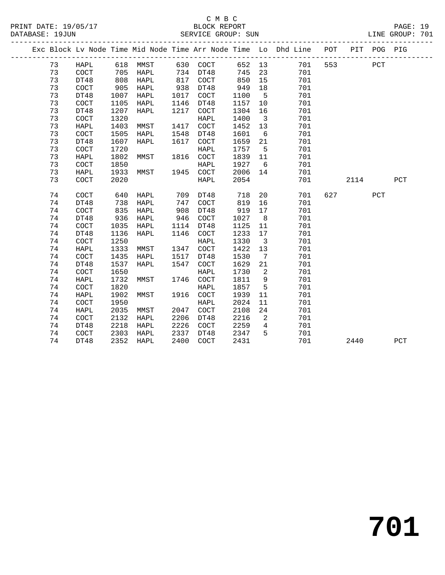|  |          |              |              |      |      |             |              |                         | Exc Block Lv Node Time Mid Node Time Arr Node Time Lo Dhd Line POT |     |      | PIT POG PIG |     |
|--|----------|--------------|--------------|------|------|-------------|--------------|-------------------------|--------------------------------------------------------------------|-----|------|-------------|-----|
|  | 73       | HAPL         | 618          | MMST | 630  | COCT        | 652          | 13                      | 701                                                                | 553 |      | PCT         |     |
|  | 73       | COCT         | 705          | HAPL | 734  | DT48        | 745          | 23                      | 701                                                                |     |      |             |     |
|  | 73       | DT48         | 808          | HAPL | 817  | COCT        | 850          | 15                      | 701                                                                |     |      |             |     |
|  | 73       | COCT         | 905          | HAPL | 938  | DT48        | 949          | 18                      | 701                                                                |     |      |             |     |
|  | 73       | DT48         | 1007         | HAPL | 1017 | COCT        | 1100         | 5                       | 701                                                                |     |      |             |     |
|  | 73       | COCT         | 1105         | HAPL | 1146 | DT48        | 1157         | 10                      | 701                                                                |     |      |             |     |
|  | 73       | DT48         | 1207         | HAPL | 1217 | COCT        | 1304         | 16                      | 701                                                                |     |      |             |     |
|  | 73       | COCT         | 1320         |      |      | <b>HAPL</b> | 1400         | $\overline{\mathbf{3}}$ | 701                                                                |     |      |             |     |
|  | 73       | HAPL         | 1403         | MMST | 1417 | COCT        | 1452         | 13                      | 701                                                                |     |      |             |     |
|  | 73       | COCT         | 1505         | HAPL | 1548 | DT48        | 1601         | 6                       | 701                                                                |     |      |             |     |
|  | 73       | DT48         | 1607         | HAPL | 1617 | COCT        | 1659         | 21                      | 701                                                                |     |      |             |     |
|  | 73       | COCT         | 1720         |      |      | <b>HAPL</b> | 1757         | 5                       | 701                                                                |     |      |             |     |
|  | 73       | <b>HAPL</b>  | 1802         | MMST | 1816 | COCT        | 1839         | 11                      | 701                                                                |     |      |             |     |
|  | 73       | COCT         | 1850         |      |      | <b>HAPL</b> | 1927         | 6                       | 701                                                                |     |      |             |     |
|  | 73       | <b>HAPL</b>  | 1933         | MMST | 1945 | COCT        | 2006         | 14                      | 701                                                                |     |      |             |     |
|  | 73       | COCT         | 2020         |      |      | <b>HAPL</b> | 2054         |                         | 701                                                                |     | 2114 |             | PCT |
|  |          |              |              |      |      |             |              |                         |                                                                    |     |      |             |     |
|  | 74       | COCT         | 640          | HAPL | 709  | DT48        | 718          | 20                      | 701                                                                | 627 |      | PCT         |     |
|  | 74       | DT48         | 738          | HAPL | 747  | COCT        | 819          | 16                      | 701                                                                |     |      |             |     |
|  | 74       | COCT         | 835          | HAPL | 908  | DT48        | 919          | 17                      | 701                                                                |     |      |             |     |
|  | 74       | DT48         | 936          | HAPL | 946  | COCT        | 1027         | 8                       | 701                                                                |     |      |             |     |
|  | 74       | COCT         | 1035         | HAPL | 1114 | DT48        | 1125         | 11                      | 701                                                                |     |      |             |     |
|  | 74       | DT48         | 1136         | HAPL | 1146 | COCT        | 1233         | 17                      | 701                                                                |     |      |             |     |
|  | 74       | COCT         | 1250         |      |      | <b>HAPL</b> | 1330         | $\overline{\mathbf{3}}$ | 701                                                                |     |      |             |     |
|  | 74       | HAPL         | 1333         | MMST | 1347 | COCT        | 1422         | 13                      | 701                                                                |     |      |             |     |
|  | 74       | COCT         | 1435         | HAPL | 1517 | DT48        | 1530         | 7                       | 701                                                                |     |      |             |     |
|  | 74       | DT48         | 1537         | HAPL | 1547 | COCT        | 1629         | 21                      | 701                                                                |     |      |             |     |
|  | 74       | COCT         | 1650         |      |      | <b>HAPL</b> | 1730         | 2                       | 701                                                                |     |      |             |     |
|  | 74       | <b>HAPL</b>  | 1732         | MMST | 1746 | COCT        | 1811         | $\mathsf 9$             | 701                                                                |     |      |             |     |
|  | 74       | COCT         | 1820         |      |      | <b>HAPL</b> | 1857         | 5                       | 701                                                                |     |      |             |     |
|  | 74       | HAPL         | 1902         | MMST | 1916 | COCT        | 1939         | 11                      | 701                                                                |     |      |             |     |
|  | 74       | COCT         | 1950         |      | 2047 | HAPL        | 2024         | 11                      | 701                                                                |     |      |             |     |
|  | 74       | HAPL         | 2035         | MMST |      | COCT        | 2108         | 24                      | 701                                                                |     |      |             |     |
|  | 74       | COCT         | 2132         | HAPL | 2206 | DT48        | 2216         | 2                       | 701                                                                |     |      |             |     |
|  | 74       | DT48         | 2218         | HAPL | 2226 | COCT        | 2259         | $\overline{4}$<br>5     | 701                                                                |     |      |             |     |
|  | 74<br>74 | COCT<br>DT48 | 2303<br>2352 | HAPL | 2337 | DT48        | 2347<br>2431 |                         | 701<br>701                                                         |     |      |             |     |
|  |          |              |              | HAPL | 2400 | COCT        |              |                         |                                                                    |     | 2440 |             | PCT |